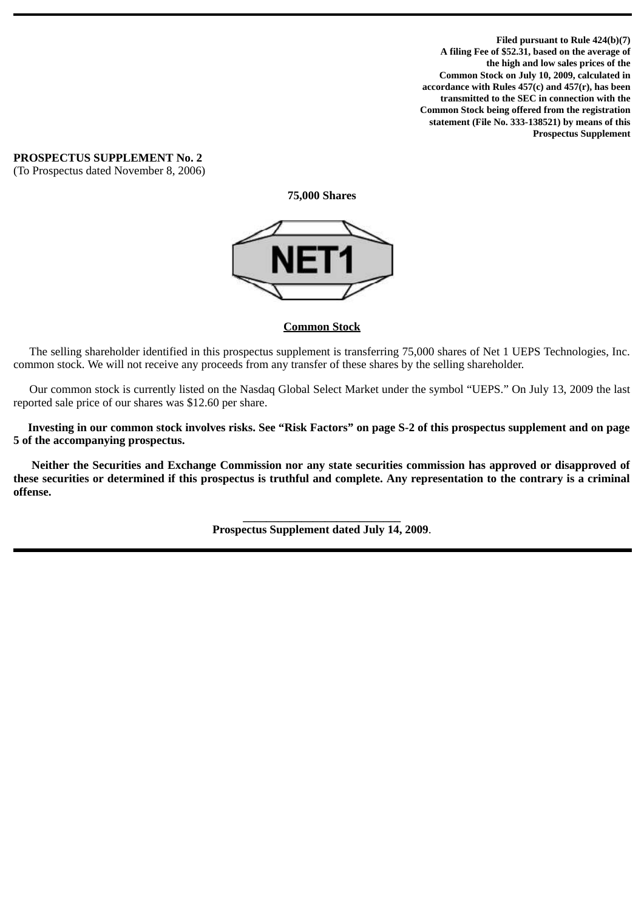**Filed pursuant to Rule 424(b)(7) A filing Fee of \$52.31, based on the average of the high and low sales prices of the Common Stock on July 10, 2009, calculated in accordance with Rules 457(c) and 457(r), has been transmitted to the SEC in connection with the Common Stock being offered from the registration statement (File No. 333-138521) by means of this Prospectus Supplement**

**PROSPECTUS SUPPLEMENT No. 2** (To Prospectus dated November 8, 2006)

**75,000 Shares**



# **Common Stock**

The selling shareholder identified in this prospectus supplement is transferring 75,000 shares of Net 1 UEPS Technologies, Inc. common stock. We will not receive any proceeds from any transfer of these shares by the selling shareholder.

Our common stock is currently listed on the Nasdaq Global Select Market under the symbol "UEPS." On July 13, 2009 the last reported sale price of our shares was \$12.60 per share.

 **Investing in our common stock involves risks. See "Risk Factors" on page S-2 of this prospectus supplement and on page 5 of the accompanying prospectus.**

**Neither the Securities and Exchange Commission nor any state securities commission has approved or disapproved of these securities or determined if this prospectus is truthful and complete. Any representation to the contrary is a criminal offense.**

> **\_\_\_\_\_\_\_\_\_\_\_\_\_\_\_\_\_\_\_\_\_\_\_\_\_\_\_ Prospectus Supplement dated July 14, 2009**.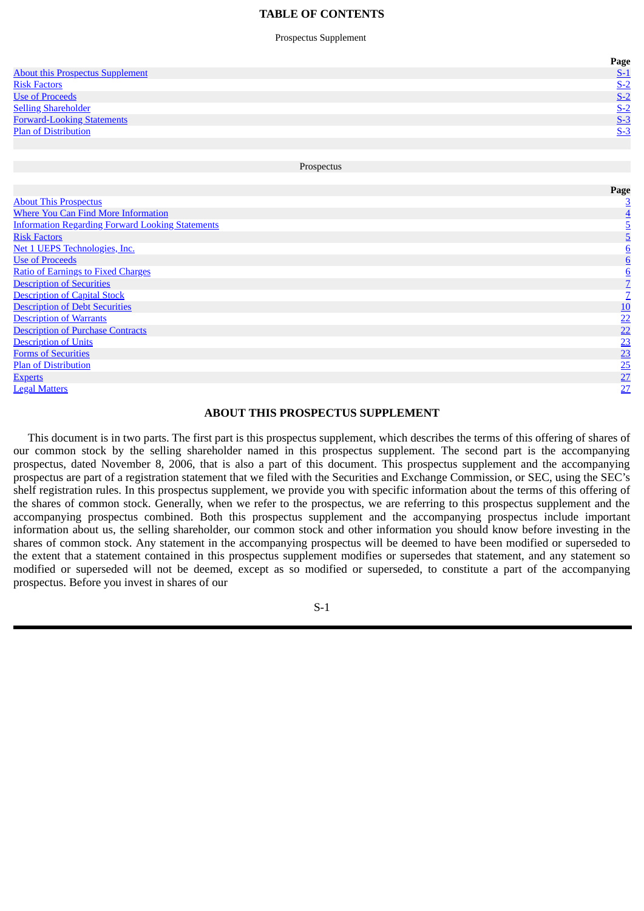### **TABLE OF CONTENTS**

Prospectus Supplement

<span id="page-1-0"></span>

|                                         | Page  |
|-----------------------------------------|-------|
| <b>About this Prospectus Supplement</b> | $S-1$ |
| <b>Risk Factors</b>                     | $S-2$ |
| <b>Use of Proceeds</b>                  | $S-2$ |
| <b>Selling Shareholder</b>              | $S-2$ |
| <b>Forward-Looking Statements</b>       | $S-3$ |
| <b>Plan of Distribution</b>             | $S-3$ |
|                                         |       |
|                                         |       |
| Prospectus                              |       |

About This [Prospectus](#page-6-0) [3](#page-6-0) Where You Can Find More [Information](#page-7-0) [4](#page-7-0) [Information](#page-8-0) Regarding Forward Looking Statements [5](#page-8-0) Risk [Factors](#page-8-0) **[5](#page-8-0) Risk Factors** 5 **5** Net 1 UEPS [Technologies,](#page-9-0) Inc. where the contract of the contract of the contract of the contract of the contract of the contract of the contract of the contract of the contract of the contract of the contract of the contract of the contract of the cont Ratio of [Earnings](#page-9-0) to Fixed Charges<br>
Description of Securities<br>
Description of Capital Stock<br>
Description of Debt Securities<br>
Description of Warrants<br>
Description of Warrants<br>
Description of Warrants<br>
Description of Units<br> [Description](#page-10-0) of Securities [Description](#page-10-0) of Capital Stock [Description](#page-13-0) of Debt Securities [Description](#page-25-0) of Warrants **[Description](#page-25-0) of Purchase Contracts** [Description](#page-26-0) of Units Forms of [Securities](#page-26-0) Plan of [Distribution](#page-28-0) **[Experts](#page-30-0)** [27](#page-30-0) **Experts** 27 **Contract 27 Experts** 27 **Contract 27 Legal [Matters](#page-30-0)** [27](#page-30-0)

**Page**

## **ABOUT THIS PROSPECTUS SUPPLEMENT**

 This document is in two parts. The first part is this prospectus supplement, which describes the terms of this offering of shares of our common stock by the selling shareholder named in this prospectus supplement. The second part is the accompanying prospectus, dated November 8, 2006, that is also a part of this document. This prospectus supplement and the accompanying prospectus are part of a registration statement that we filed with the Securities and Exchange Commission, or SEC, using the SEC's shelf registration rules. In this prospectus supplement, we provide you with specific information about the terms of this offering of the shares of common stock. Generally, when we refer to the prospectus, we are referring to this prospectus supplement and the accompanying prospectus combined. Both this prospectus supplement and the accompanying prospectus include important information about us, the selling shareholder, our common stock and other information you should know before investing in the shares of common stock. Any statement in the accompanying prospectus will be deemed to have been modified or superseded to the extent that a statement contained in this prospectus supplement modifies or supersedes that statement, and any statement so modified or superseded will not be deemed, except as so modified or superseded, to constitute a part of the accompanying prospectus. Before you invest in shares of our

S-1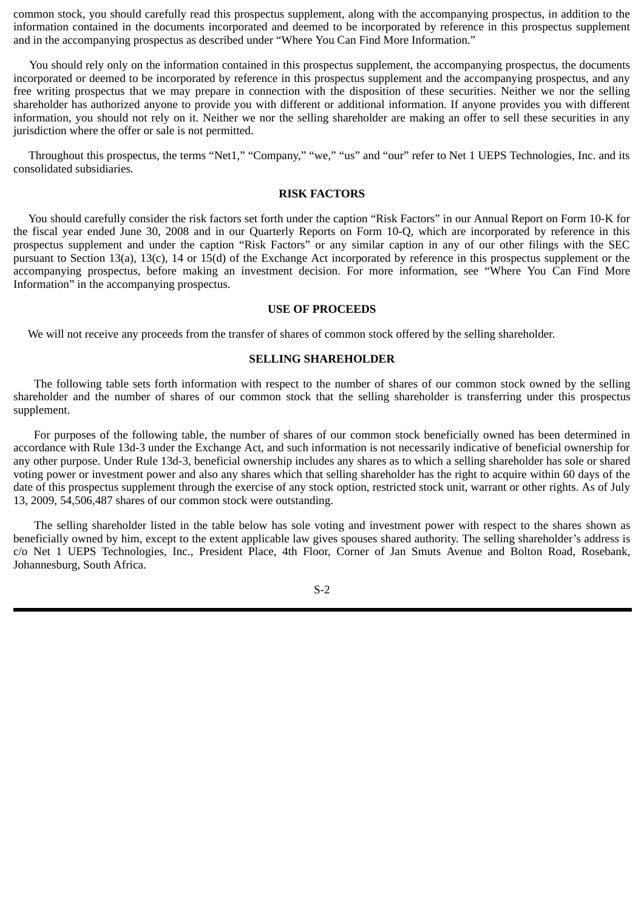<span id="page-2-0"></span>common stock, you should carefully read this prospectus supplement, along with the accompanying prospectus, in addition to the information contained in the documents incorporated and deemed to be incorporated by reference in this prospectus supplement and in the accompanying prospectus as described under "Where You Can Find More Information."

You should rely only on the information contained in this prospectus supplement, the accompanying prospectus, the documents incorporated or deemed to be incorporated by reference in this prospectus supplement and the accompanying prospectus, and any free writing prospectus that we may prepare in connection with the disposition of these securities. Neither we nor the selling shareholder has authorized anyone to provide you with different or additional information. If anyone provides you with different information, you should not rely on it. Neither we nor the selling shareholder are making an offer to sell these securities in any jurisdiction where the offer or sale is not permitted.

Throughout this prospectus, the terms "Net1," "Company," "we," "us" and "our" refer to Net 1 UEPS Technologies, Inc. and its consolidated subsidiaries*.*

## **RISK FACTORS**

You should carefully consider the risk factors set forth under the caption "Risk Factors" in our Annual Report on Form 10-K for the fiscal year ended June 30, 2008 and in our Quarterly Reports on Form 10-Q, which are incorporated by reference in this prospectus supplement and under the caption "Risk Factors" or any similar caption in any of our other filings with the SEC pursuant to Section 13(a), 13(c), 14 or 15(d) of the Exchange Act incorporated by reference in this prospectus supplement or the accompanying prospectus, before making an investment decision. For more information, see "Where You Can Find More Information" in the accompanying prospectus.

#### **USE OF PROCEEDS**

We will not receive any proceeds from the transfer of shares of common stock offered by the selling shareholder.

## **SELLING SHAREHOLDER**

The following table sets forth information with respect to the number of shares of our common stock owned by the selling shareholder and the number of shares of our common stock that the selling shareholder is transferring under this prospectus supplement.

For purposes of the following table, the number of shares of our common stock beneficially owned has been determined in accordance with Rule 13d-3 under the Exchange Act, and such information is not necessarily indicative of beneficial ownership for any other purpose. Under Rule 13d-3, beneficial ownership includes any shares as to which a selling shareholder has sole or shared voting power or investment power and also any shares which that selling shareholder has the right to acquire within 60 days of the date of this prospectus supplement through the exercise of any stock option, restricted stock unit, warrant or other rights. As of July 13, 2009, 54,506,487 shares of our common stock were outstanding.

The selling shareholder listed in the table below has sole voting and investment power with respect to the shares shown as beneficially owned by him, except to the extent applicable law gives spouses shared authority. The selling shareholder's address is c/o Net 1 UEPS Technologies, Inc., President Place, 4th Floor, Corner of Jan Smuts Avenue and Bolton Road, Rosebank, Johannesburg, South Africa.

S-2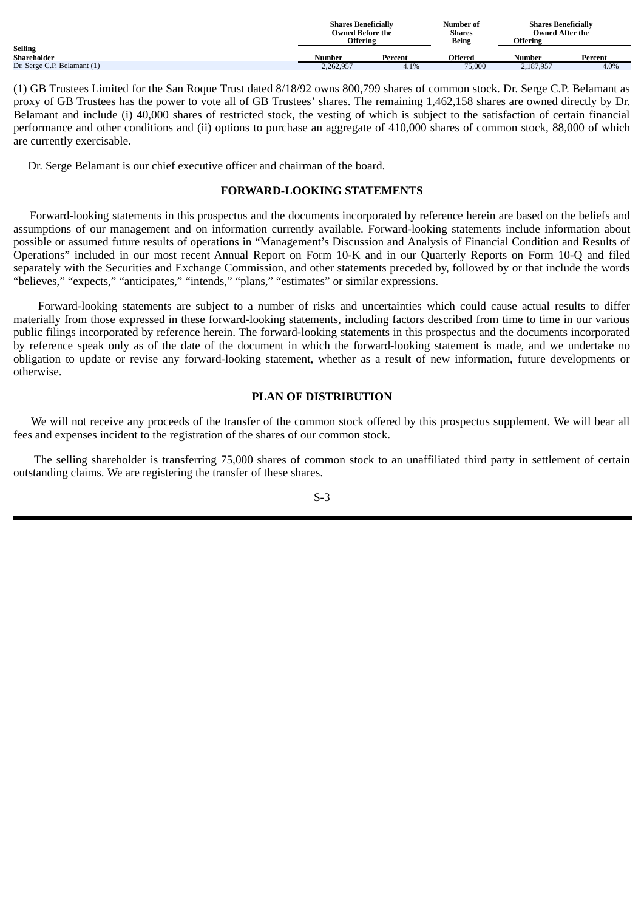<span id="page-3-0"></span>

|                             |           | <b>Shares Beneficially</b> |                | <b>Shares Beneficially</b> |         |
|-----------------------------|-----------|----------------------------|----------------|----------------------------|---------|
|                             |           | <b>Owned Before the</b>    |                | <b>Owned After the</b>     |         |
|                             | Offering  |                            | <b>Being</b>   | <b>Offering</b>            |         |
| <b>Selling</b>              |           |                            |                |                            |         |
| Shareholder                 | Number    | Percent                    | <b>Offered</b> | Number                     | Percent |
| Dr. Serge C.P. Belamant (1) | 2,262,957 | 4.1%                       | 75,000         | 2,187,957                  | 4.0%    |

(1) GB Trustees Limited for the San Roque Trust dated 8/18/92 owns 800,799 shares of common stock. Dr. Serge C.P. Belamant as proxy of GB Trustees has the power to vote all of GB Trustees' shares. The remaining 1,462,158 shares are owned directly by Dr. Belamant and include (i) 40,000 shares of restricted stock, the vesting of which is subject to the satisfaction of certain financial performance and other conditions and (ii) options to purchase an aggregate of 410,000 shares of common stock, 88,000 of which are currently exercisable.

Dr. Serge Belamant is our chief executive officer and chairman of the board.

# **FORWARD-LOOKING STATEMENTS**

Forward-looking statements in this prospectus and the documents incorporated by reference herein are based on the beliefs and assumptions of our management and on information currently available. Forward-looking statements include information about possible or assumed future results of operations in "Management's Discussion and Analysis of Financial Condition and Results of Operations" included in our most recent Annual Report on Form 10-K and in our Quarterly Reports on Form 10-Q and filed separately with the Securities and Exchange Commission, and other statements preceded by, followed by or that include the words "believes," "expects," "anticipates," "intends," "plans," "estimates" or similar expressions.

Forward-looking statements are subject to a number of risks and uncertainties which could cause actual results to differ materially from those expressed in these forward-looking statements, including factors described from time to time in our various public filings incorporated by reference herein. The forward-looking statements in this prospectus and the documents incorporated by reference speak only as of the date of the document in which the forward-looking statement is made, and we undertake no obligation to update or revise any forward-looking statement, whether as a result of new information, future developments or otherwise.

# **PLAN OF DISTRIBUTION**

We will not receive any proceeds of the transfer of the common stock offered by this prospectus supplement. We will bear all fees and expenses incident to the registration of the shares of our common stock.

The selling shareholder is transferring 75,000 shares of common stock to an unaffiliated third party in settlement of certain outstanding claims. We are registering the transfer of these shares.

S-3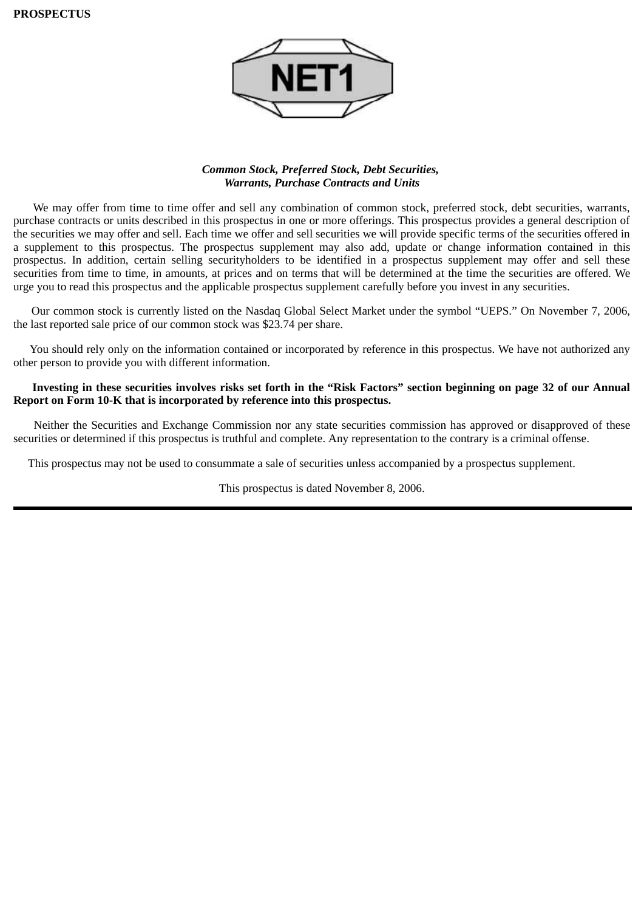

# *Common Stock, Preferred Stock, Debt Securities, Warrants, Purchase Contracts and Units*

We may offer from time to time offer and sell any combination of common stock, preferred stock, debt securities, warrants, purchase contracts or units described in this prospectus in one or more offerings. This prospectus provides a general description of the securities we may offer and sell. Each time we offer and sell securities we will provide specific terms of the securities offered in a supplement to this prospectus. The prospectus supplement may also add, update or change information contained in this prospectus. In addition, certain selling securityholders to be identified in a prospectus supplement may offer and sell these securities from time to time, in amounts, at prices and on terms that will be determined at the time the securities are offered. We urge you to read this prospectus and the applicable prospectus supplement carefully before you invest in any securities.

Our common stock is currently listed on the Nasdaq Global Select Market under the symbol "UEPS." On November 7, 2006, the last reported sale price of our common stock was \$23.74 per share.

You should rely only on the information contained or incorporated by reference in this prospectus. We have not authorized any other person to provide you with different information.

# **Investing in these securities involves risks set forth in the "Risk Factors" section beginning on page 32 of our Annual Report on Form 10-K that is incorporated by reference into this prospectus.**

Neither the Securities and Exchange Commission nor any state securities commission has approved or disapproved of these securities or determined if this prospectus is truthful and complete. Any representation to the contrary is a criminal offense.

This prospectus may not be used to consummate a sale of securities unless accompanied by a prospectus supplement.

This prospectus is dated November 8, 2006.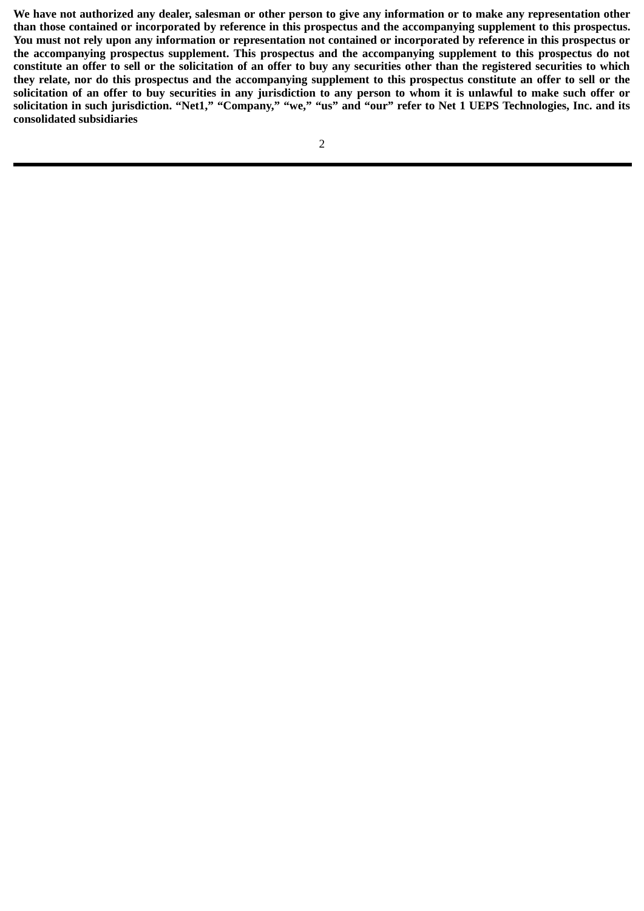**We have not authorized any dealer, salesman or other person to give any information or to make any representation other than those contained or incorporated by reference in this prospectus and the accompanying supplement to this prospectus. You must not rely upon any information or representation not contained or incorporated by reference in this prospectus or the accompanying prospectus supplement. This prospectus and the accompanying supplement to this prospectus do not constitute an offer to sell or the solicitation of an offer to buy any securities other than the registered securities to which they relate, nor do this prospectus and the accompanying supplement to this prospectus constitute an offer to sell or the solicitation of an offer to buy securities in any jurisdiction to any person to whom it is unlawful to make such offer or solicitation in such jurisdiction. "Net1," "Company," "we," "us" and "our" refer to Net 1 UEPS Technologies, Inc. and its consolidated subsidiaries**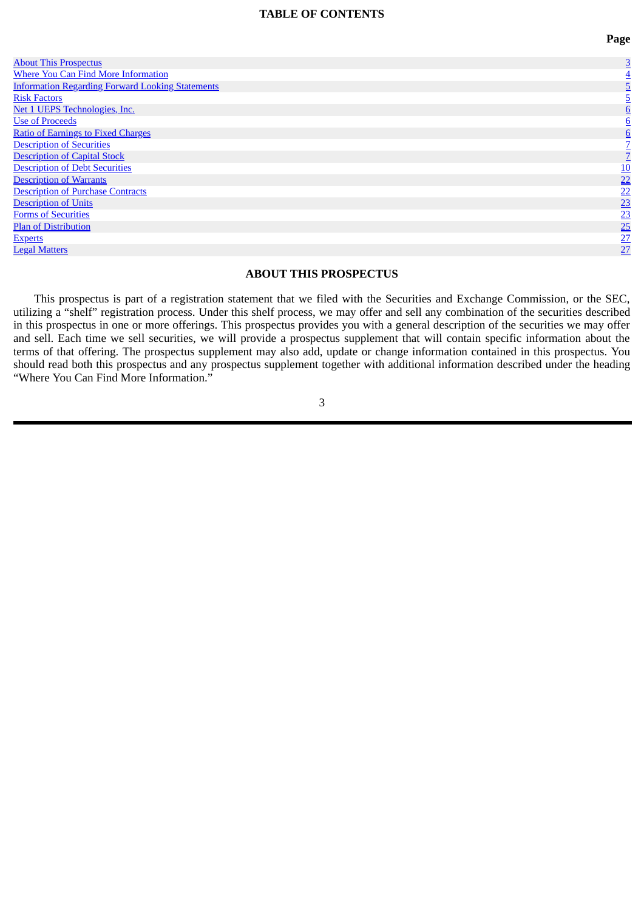#### **TABLE OF CONTENTS**

**Page**

<span id="page-6-0"></span>

| <b>About This Prospectus</b>                            | 3               |
|---------------------------------------------------------|-----------------|
| <b>Where You Can Find More Information</b>              |                 |
| <b>Information Regarding Forward Looking Statements</b> |                 |
| <b>Risk Factors</b>                                     |                 |
| Net 1 UEPS Technologies, Inc.                           |                 |
| <b>Use of Proceeds</b>                                  |                 |
| <b>Ratio of Earnings to Fixed Charges</b>               |                 |
| <b>Description of Securities</b>                        |                 |
| <b>Description of Capital Stock</b>                     |                 |
| <b>Description of Debt Securities</b>                   |                 |
| <b>Description of Warrants</b>                          | $\frac{10}{22}$ |
| <b>Description of Purchase Contracts</b>                | 22              |
| <b>Description of Units</b>                             | $\overline{23}$ |
| <b>Forms of Securities</b>                              | $\frac{23}{25}$ |
| <b>Plan of Distribution</b>                             |                 |
| <b>Experts</b>                                          | $\frac{27}{27}$ |
| <b>Legal Matters</b>                                    |                 |

# **ABOUT THIS PROSPECTUS**

This prospectus is part of a registration statement that we filed with the Securities and Exchange Commission, or the SEC, utilizing a "shelf" registration process. Under this shelf process, we may offer and sell any combination of the securities described in this prospectus in one or more offerings. This prospectus provides you with a general description of the securities we may offer and sell. Each time we sell securities, we will provide a prospectus supplement that will contain specific information about the terms of that offering. The prospectus supplement may also add, update or change information contained in this prospectus. You should read both this prospectus and any prospectus supplement together with additional information described under the heading "Where You Can Find More Information."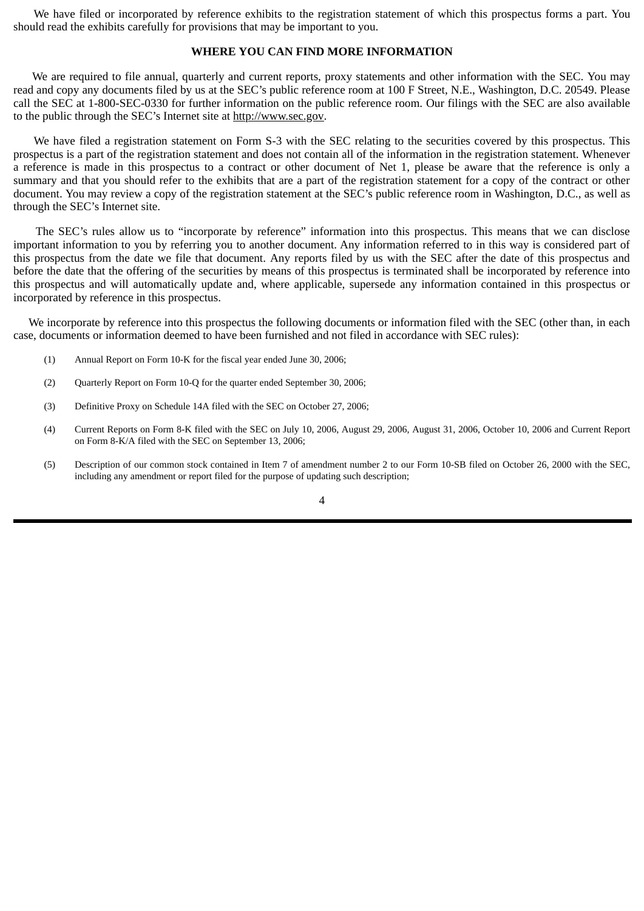<span id="page-7-0"></span>We have filed or incorporated by reference exhibits to the registration statement of which this prospectus forms a part. You should read the exhibits carefully for provisions that may be important to you.

## **WHERE YOU CAN FIND MORE INFORMATION**

We are required to file annual, quarterly and current reports, proxy statements and other information with the SEC. You may read and copy any documents filed by us at the SEC's public reference room at 100 F Street, N.E., Washington, D.C. 20549. Please call the SEC at 1-800-SEC-0330 for further information on the public reference room. Our filings with the SEC are also available to the public through the SEC's Internet site at http://www.sec.gov.

We have filed a registration statement on Form S-3 with the SEC relating to the securities covered by this prospectus. This prospectus is a part of the registration statement and does not contain all of the information in the registration statement. Whenever a reference is made in this prospectus to a contract or other document of Net 1, please be aware that the reference is only a summary and that you should refer to the exhibits that are a part of the registration statement for a copy of the contract or other document. You may review a copy of the registration statement at the SEC's public reference room in Washington, D.C., as well as through the SEC's Internet site.

The SEC's rules allow us to "incorporate by reference" information into this prospectus. This means that we can disclose important information to you by referring you to another document. Any information referred to in this way is considered part of this prospectus from the date we file that document. Any reports filed by us with the SEC after the date of this prospectus and before the date that the offering of the securities by means of this prospectus is terminated shall be incorporated by reference into this prospectus and will automatically update and, where applicable, supersede any information contained in this prospectus or incorporated by reference in this prospectus.

We incorporate by reference into this prospectus the following documents or information filed with the SEC (other than, in each case, documents or information deemed to have been furnished and not filed in accordance with SEC rules):

- (1) Annual Report on Form 10-K for the fiscal year ended June 30, 2006;
- (2) Quarterly Report on Form 10-Q for the quarter ended September 30, 2006;
- (3) Definitive Proxy on Schedule 14A filed with the SEC on October 27, 2006;
- (4) Current Reports on Form 8-K filed with the SEC on July 10, 2006, August 29, 2006, August 31, 2006, October 10, 2006 and Current Report on Form 8-K/A filed with the SEC on September 13, 2006;
- (5) Description of our common stock contained in Item 7 of amendment number 2 to our Form 10-SB filed on October 26, 2000 with the SEC, including any amendment or report filed for the purpose of updating such description;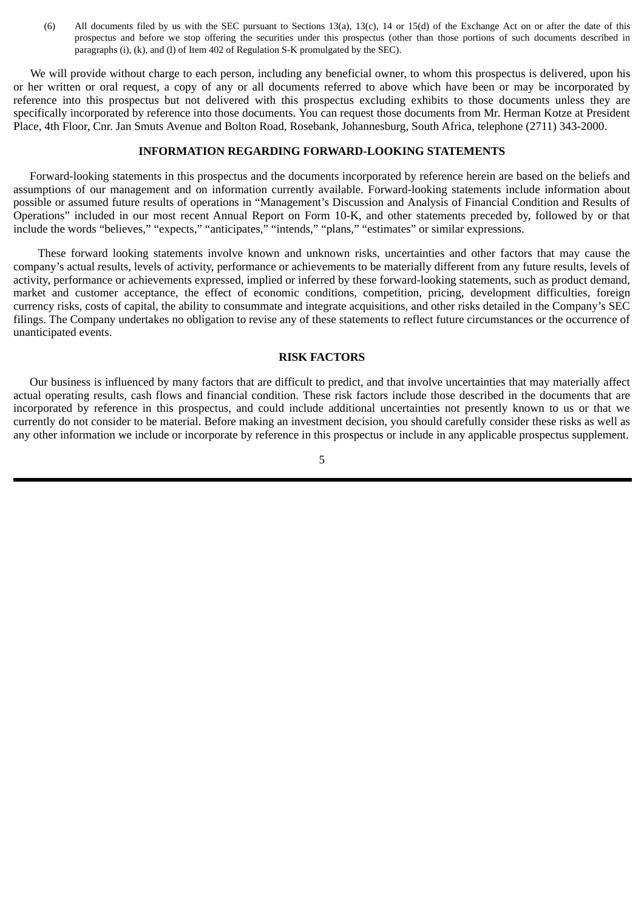<span id="page-8-0"></span>(6) All documents filed by us with the SEC pursuant to Sections 13(a), 13(c), 14 or 15(d) of the Exchange Act on or after the date of this prospectus and before we stop offering the securities under this prospectus (other than those portions of such documents described in paragraphs (i), (k), and (l) of Item 402 of Regulation S-K promulgated by the SEC).

We will provide without charge to each person, including any beneficial owner, to whom this prospectus is delivered, upon his or her written or oral request, a copy of any or all documents referred to above which have been or may be incorporated by reference into this prospectus but not delivered with this prospectus excluding exhibits to those documents unless they are specifically incorporated by reference into those documents. You can request those documents from Mr. Herman Kotze at President Place, 4th Floor, Cnr. Jan Smuts Avenue and Bolton Road, Rosebank, Johannesburg, South Africa, telephone (2711) 343-2000.

## **INFORMATION REGARDING FORWARD-LOOKING STATEMENTS**

Forward-looking statements in this prospectus and the documents incorporated by reference herein are based on the beliefs and assumptions of our management and on information currently available. Forward-looking statements include information about possible or assumed future results of operations in "Management's Discussion and Analysis of Financial Condition and Results of Operations" included in our most recent Annual Report on Form 10-K, and other statements preceded by, followed by or that include the words "believes," "expects," "anticipates," "intends," "plans," "estimates" or similar expressions.

These forward looking statements involve known and unknown risks, uncertainties and other factors that may cause the company's actual results, levels of activity, performance or achievements to be materially different from any future results, levels of activity, performance or achievements expressed, implied or inferred by these forward-looking statements, such as product demand, market and customer acceptance, the effect of economic conditions, competition, pricing, development difficulties, foreign currency risks, costs of capital, the ability to consummate and integrate acquisitions, and other risks detailed in the Company's SEC filings. The Company undertakes no obligation to revise any of these statements to reflect future circumstances or the occurrence of unanticipated events.

## **RISK FACTORS**

Our business is influenced by many factors that are difficult to predict, and that involve uncertainties that may materially affect actual operating results, cash flows and financial condition. These risk factors include those described in the documents that are incorporated by reference in this prospectus, and could include additional uncertainties not presently known to us or that we currently do not consider to be material. Before making an investment decision, you should carefully consider these risks as well as any other information we include or incorporate by reference in this prospectus or include in any applicable prospectus supplement.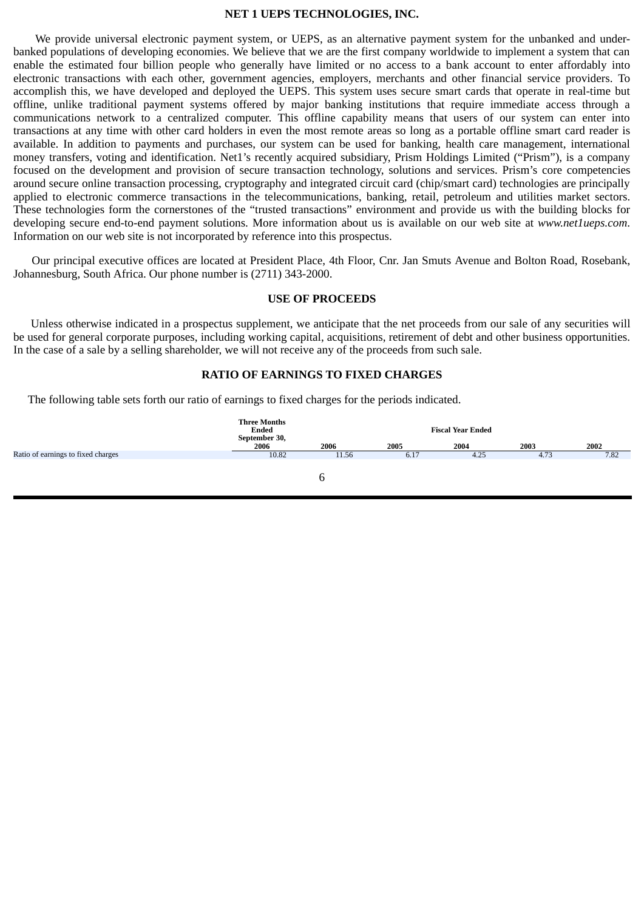### **NET 1 UEPS TECHNOLOGIES, INC.**

<span id="page-9-0"></span>We provide universal electronic payment system, or UEPS, as an alternative payment system for the unbanked and underbanked populations of developing economies. We believe that we are the first company worldwide to implement a system that can enable the estimated four billion people who generally have limited or no access to a bank account to enter affordably into electronic transactions with each other, government agencies, employers, merchants and other financial service providers. To accomplish this, we have developed and deployed the UEPS. This system uses secure smart cards that operate in real-time but offline, unlike traditional payment systems offered by major banking institutions that require immediate access through a communications network to a centralized computer. This offline capability means that users of our system can enter into transactions at any time with other card holders in even the most remote areas so long as a portable offline smart card reader is available. In addition to payments and purchases, our system can be used for banking, health care management, international money transfers, voting and identification. Net1's recently acquired subsidiary, Prism Holdings Limited ("Prism"), is a company focused on the development and provision of secure transaction technology, solutions and services. Prism's core competencies around secure online transaction processing, cryptography and integrated circuit card (chip/smart card) technologies are principally applied to electronic commerce transactions in the telecommunications, banking, retail, petroleum and utilities market sectors. These technologies form the cornerstones of the "trusted transactions" environment and provide us with the building blocks for developing secure end-to-end payment solutions. More information about us is available on our web site at *www.net1ueps.com*. Information on our web site is not incorporated by reference into this prospectus.

Our principal executive offices are located at President Place, 4th Floor, Cnr. Jan Smuts Avenue and Bolton Road, Rosebank, Johannesburg, South Africa. Our phone number is (2711) 343-2000.

## **USE OF PROCEEDS**

Unless otherwise indicated in a prospectus supplement, we anticipate that the net proceeds from our sale of any securities will be used for general corporate purposes, including working capital, acquisitions, retirement of debt and other business opportunities. In the case of a sale by a selling shareholder, we will not receive any of the proceeds from such sale.

# **RATIO OF EARNINGS TO FIXED CHARGES**

The following table sets forth our ratio of earnings to fixed charges for the periods indicated.

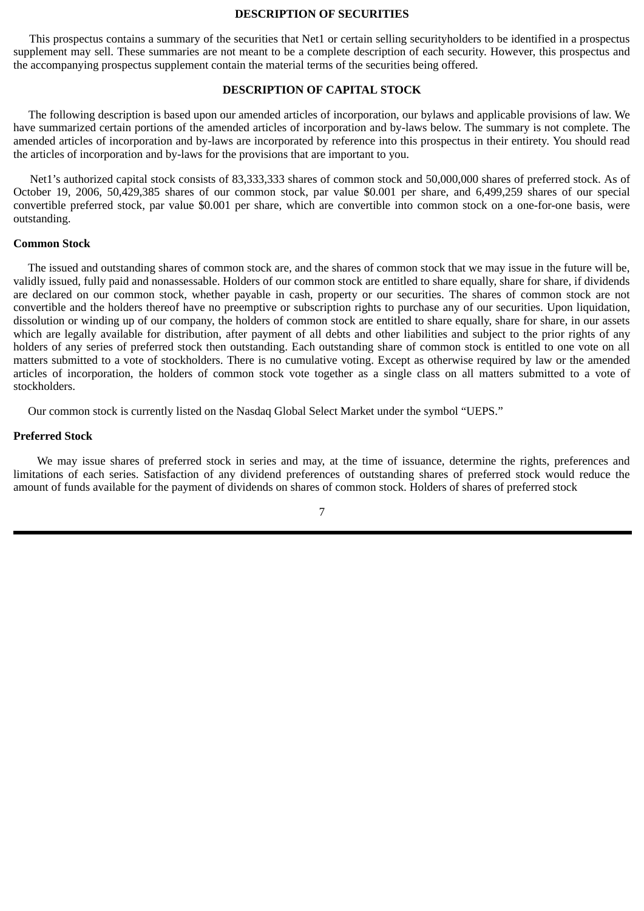#### **DESCRIPTION OF SECURITIES**

<span id="page-10-0"></span>This prospectus contains a summary of the securities that Net1 or certain selling securityholders to be identified in a prospectus supplement may sell. These summaries are not meant to be a complete description of each security. However, this prospectus and the accompanying prospectus supplement contain the material terms of the securities being offered.

# **DESCRIPTION OF CAPITAL STOCK**

The following description is based upon our amended articles of incorporation, our bylaws and applicable provisions of law. We have summarized certain portions of the amended articles of incorporation and by-laws below. The summary is not complete. The amended articles of incorporation and by-laws are incorporated by reference into this prospectus in their entirety. You should read the articles of incorporation and by-laws for the provisions that are important to you.

Net1's authorized capital stock consists of 83,333,333 shares of common stock and 50,000,000 shares of preferred stock. As of October 19, 2006, 50,429,385 shares of our common stock, par value \$0.001 per share, and 6,499,259 shares of our special convertible preferred stock, par value \$0.001 per share, which are convertible into common stock on a one-for-one basis, were outstanding.

#### **Common Stock**

The issued and outstanding shares of common stock are, and the shares of common stock that we may issue in the future will be, validly issued, fully paid and nonassessable. Holders of our common stock are entitled to share equally, share for share, if dividends are declared on our common stock, whether payable in cash, property or our securities. The shares of common stock are not convertible and the holders thereof have no preemptive or subscription rights to purchase any of our securities. Upon liquidation, dissolution or winding up of our company, the holders of common stock are entitled to share equally, share for share, in our assets which are legally available for distribution, after payment of all debts and other liabilities and subject to the prior rights of any holders of any series of preferred stock then outstanding. Each outstanding share of common stock is entitled to one vote on all matters submitted to a vote of stockholders. There is no cumulative voting. Except as otherwise required by law or the amended articles of incorporation, the holders of common stock vote together as a single class on all matters submitted to a vote of stockholders.

Our common stock is currently listed on the Nasdaq Global Select Market under the symbol "UEPS."

#### **Preferred Stock**

We may issue shares of preferred stock in series and may, at the time of issuance, determine the rights, preferences and limitations of each series. Satisfaction of any dividend preferences of outstanding shares of preferred stock would reduce the amount of funds available for the payment of dividends on shares of common stock. Holders of shares of preferred stock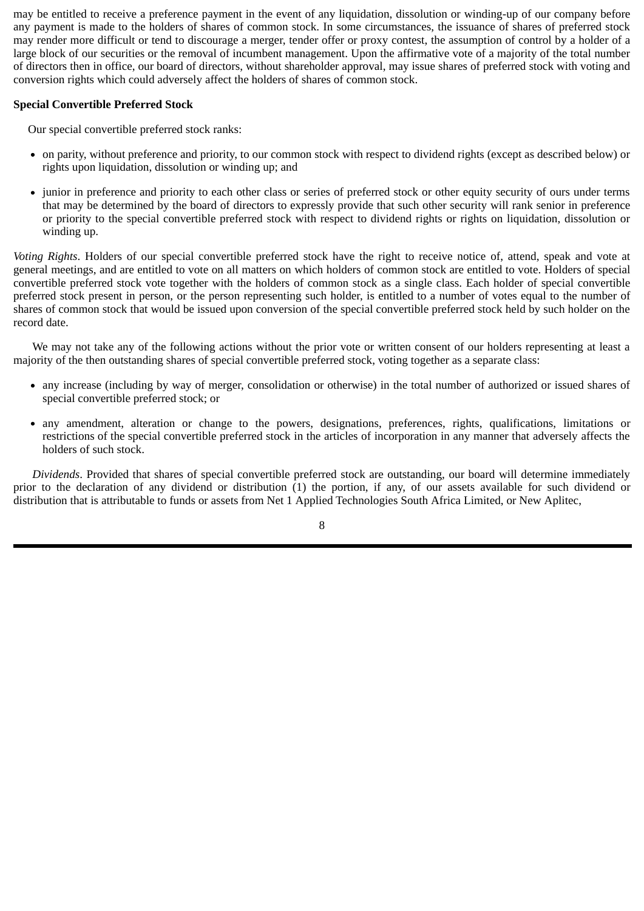may be entitled to receive a preference payment in the event of any liquidation, dissolution or winding-up of our company before any payment is made to the holders of shares of common stock. In some circumstances, the issuance of shares of preferred stock may render more difficult or tend to discourage a merger, tender offer or proxy contest, the assumption of control by a holder of a large block of our securities or the removal of incumbent management. Upon the affirmative vote of a majority of the total number of directors then in office, our board of directors, without shareholder approval, may issue shares of preferred stock with voting and conversion rights which could adversely affect the holders of shares of common stock.

# **Special Convertible Preferred Stock**

Our special convertible preferred stock ranks:

- on parity, without preference and priority, to our common stock with respect to dividend rights (except as described below) or rights upon liquidation, dissolution or winding up; and
- junior in preference and priority to each other class or series of preferred stock or other equity security of ours under terms that may be determined by the board of directors to expressly provide that such other security will rank senior in preference or priority to the special convertible preferred stock with respect to dividend rights or rights on liquidation, dissolution or winding up.

*Voting Rights*. Holders of our special convertible preferred stock have the right to receive notice of, attend, speak and vote at general meetings, and are entitled to vote on all matters on which holders of common stock are entitled to vote. Holders of special convertible preferred stock vote together with the holders of common stock as a single class. Each holder of special convertible preferred stock present in person, or the person representing such holder, is entitled to a number of votes equal to the number of shares of common stock that would be issued upon conversion of the special convertible preferred stock held by such holder on the record date.

We may not take any of the following actions without the prior vote or written consent of our holders representing at least a majority of the then outstanding shares of special convertible preferred stock, voting together as a separate class:

- any increase (including by way of merger, consolidation or otherwise) in the total number of authorized or issued shares of special convertible preferred stock; or
- any amendment, alteration or change to the powers, designations, preferences, rights, qualifications, limitations or restrictions of the special convertible preferred stock in the articles of incorporation in any manner that adversely affects the holders of such stock.

*Dividends*. Provided that shares of special convertible preferred stock are outstanding, our board will determine immediately prior to the declaration of any dividend or distribution (1) the portion, if any, of our assets available for such dividend or distribution that is attributable to funds or assets from Net 1 Applied Technologies South Africa Limited, or New Aplitec,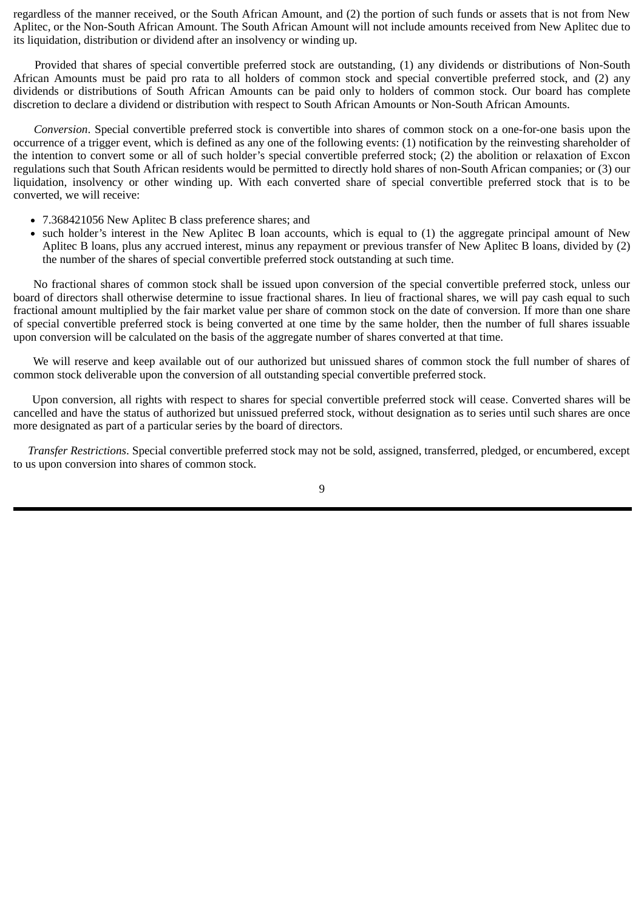regardless of the manner received, or the South African Amount, and (2) the portion of such funds or assets that is not from New Aplitec, or the Non-South African Amount. The South African Amount will not include amounts received from New Aplitec due to its liquidation, distribution or dividend after an insolvency or winding up.

Provided that shares of special convertible preferred stock are outstanding, (1) any dividends or distributions of Non-South African Amounts must be paid pro rata to all holders of common stock and special convertible preferred stock, and (2) any dividends or distributions of South African Amounts can be paid only to holders of common stock. Our board has complete discretion to declare a dividend or distribution with respect to South African Amounts or Non-South African Amounts.

*Conversion*. Special convertible preferred stock is convertible into shares of common stock on a one-for-one basis upon the occurrence of a trigger event, which is defined as any one of the following events: (1) notification by the reinvesting shareholder of the intention to convert some or all of such holder's special convertible preferred stock; (2) the abolition or relaxation of Excon regulations such that South African residents would be permitted to directly hold shares of non-South African companies; or (3) our liquidation, insolvency or other winding up. With each converted share of special convertible preferred stock that is to be converted, we will receive:

- 7.368421056 New Aplitec B class preference shares; and
- such holder's interest in the New Aplitec B loan accounts, which is equal to (1) the aggregate principal amount of New  $\bullet$ Aplitec B loans, plus any accrued interest, minus any repayment or previous transfer of New Aplitec B loans, divided by (2) the number of the shares of special convertible preferred stock outstanding at such time.

No fractional shares of common stock shall be issued upon conversion of the special convertible preferred stock, unless our board of directors shall otherwise determine to issue fractional shares. In lieu of fractional shares, we will pay cash equal to such fractional amount multiplied by the fair market value per share of common stock on the date of conversion. If more than one share of special convertible preferred stock is being converted at one time by the same holder, then the number of full shares issuable upon conversion will be calculated on the basis of the aggregate number of shares converted at that time.

We will reserve and keep available out of our authorized but unissued shares of common stock the full number of shares of common stock deliverable upon the conversion of all outstanding special convertible preferred stock.

Upon conversion, all rights with respect to shares for special convertible preferred stock will cease. Converted shares will be cancelled and have the status of authorized but unissued preferred stock, without designation as to series until such shares are once more designated as part of a particular series by the board of directors.

 *Transfer Restrictions*. Special convertible preferred stock may not be sold, assigned, transferred, pledged, or encumbered, except to us upon conversion into shares of common stock.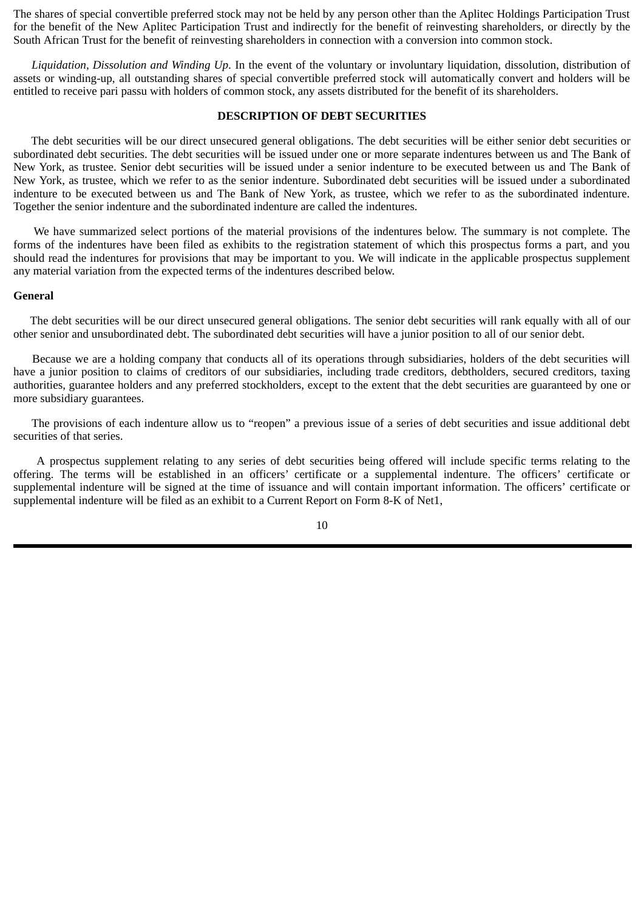<span id="page-13-0"></span>The shares of special convertible preferred stock may not be held by any person other than the Aplitec Holdings Participation Trust for the benefit of the New Aplitec Participation Trust and indirectly for the benefit of reinvesting shareholders, or directly by the South African Trust for the benefit of reinvesting shareholders in connection with a conversion into common stock.

*Liquidation, Dissolution and Winding Up*. In the event of the voluntary or involuntary liquidation, dissolution, distribution of assets or winding-up, all outstanding shares of special convertible preferred stock will automatically convert and holders will be entitled to receive pari passu with holders of common stock, any assets distributed for the benefit of its shareholders.

# **DESCRIPTION OF DEBT SECURITIES**

The debt securities will be our direct unsecured general obligations. The debt securities will be either senior debt securities or subordinated debt securities. The debt securities will be issued under one or more separate indentures between us and The Bank of New York, as trustee. Senior debt securities will be issued under a senior indenture to be executed between us and The Bank of New York, as trustee, which we refer to as the senior indenture. Subordinated debt securities will be issued under a subordinated indenture to be executed between us and The Bank of New York, as trustee, which we refer to as the subordinated indenture. Together the senior indenture and the subordinated indenture are called the indentures.

We have summarized select portions of the material provisions of the indentures below. The summary is not complete. The forms of the indentures have been filed as exhibits to the registration statement of which this prospectus forms a part, and you should read the indentures for provisions that may be important to you. We will indicate in the applicable prospectus supplement any material variation from the expected terms of the indentures described below.

#### **General**

The debt securities will be our direct unsecured general obligations. The senior debt securities will rank equally with all of our other senior and unsubordinated debt. The subordinated debt securities will have a junior position to all of our senior debt.

Because we are a holding company that conducts all of its operations through subsidiaries, holders of the debt securities will have a junior position to claims of creditors of our subsidiaries, including trade creditors, debtholders, secured creditors, taxing authorities, guarantee holders and any preferred stockholders, except to the extent that the debt securities are guaranteed by one or more subsidiary guarantees.

The provisions of each indenture allow us to "reopen" a previous issue of a series of debt securities and issue additional debt securities of that series.

A prospectus supplement relating to any series of debt securities being offered will include specific terms relating to the offering. The terms will be established in an officers' certificate or a supplemental indenture. The officers' certificate or supplemental indenture will be signed at the time of issuance and will contain important information. The officers' certificate or supplemental indenture will be filed as an exhibit to a Current Report on Form 8-K of Net1,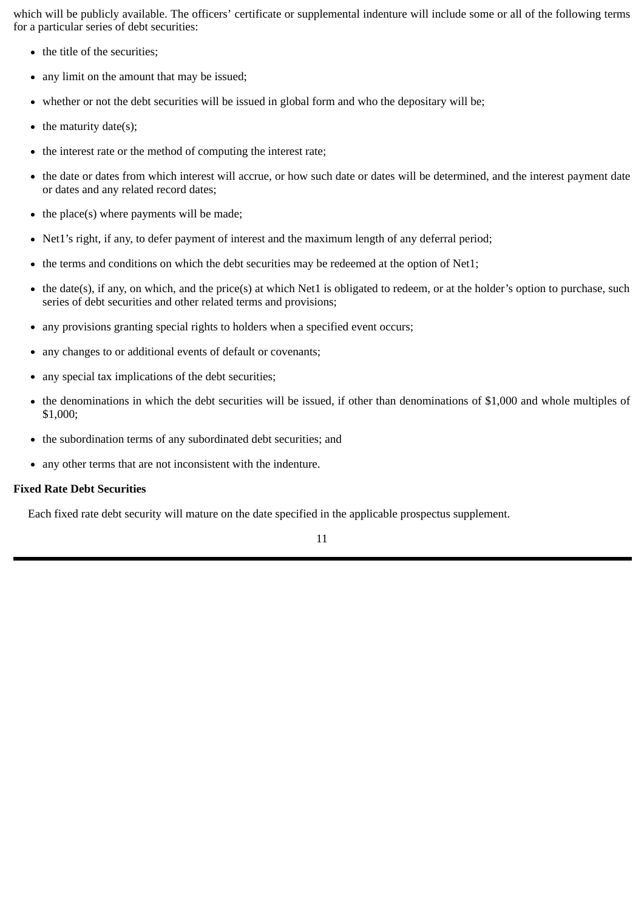which will be publicly available. The officers' certificate or supplemental indenture will include some or all of the following terms for a particular series of debt securities:

- the title of the securities;
- any limit on the amount that may be issued;  $\bullet$
- whether or not the debt securities will be issued in global form and who the depositary will be;
- the maturity date(s);  $\bullet$
- the interest rate or the method of computing the interest rate;  $\bullet$
- the date or dates from which interest will accrue, or how such date or dates will be determined, and the interest payment date  $\bullet$ or dates and any related record dates;
- the place(s) where payments will be made;  $\bullet$
- Net1's right, if any, to defer payment of interest and the maximum length of any deferral period;  $\bullet$
- $\bullet$ the terms and conditions on which the debt securities may be redeemed at the option of Net1;
- the date(s), if any, on which, and the price(s) at which Net1 is obligated to redeem, or at the holder's option to purchase, such  $\bullet$ series of debt securities and other related terms and provisions;
- any provisions granting special rights to holders when a specified event occurs;  $\bullet$
- any changes to or additional events of default or covenants;  $\bullet$
- any special tax implications of the debt securities;  $\bullet$
- the denominations in which the debt securities will be issued, if other than denominations of \$1,000 and whole multiples of  $\bullet$ \$1,000;
- the subordination terms of any subordinated debt securities; and  $\bullet$
- any other terms that are not inconsistent with the indenture.

# **Fixed Rate Debt Securities**

Each fixed rate debt security will mature on the date specified in the applicable prospectus supplement.

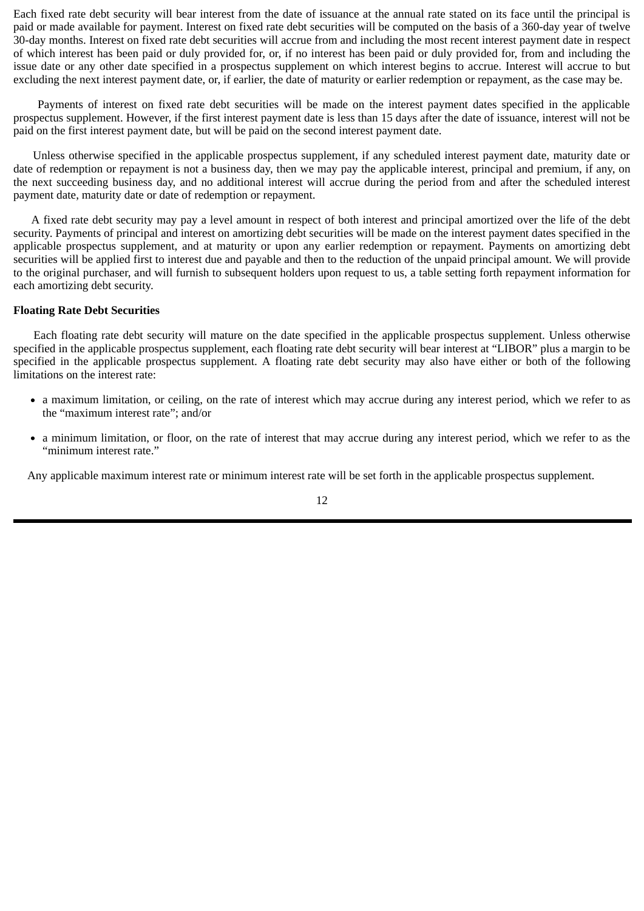Each fixed rate debt security will bear interest from the date of issuance at the annual rate stated on its face until the principal is paid or made available for payment. Interest on fixed rate debt securities will be computed on the basis of a 360-day year of twelve 30-day months. Interest on fixed rate debt securities will accrue from and including the most recent interest payment date in respect of which interest has been paid or duly provided for, or, if no interest has been paid or duly provided for, from and including the issue date or any other date specified in a prospectus supplement on which interest begins to accrue. Interest will accrue to but excluding the next interest payment date, or, if earlier, the date of maturity or earlier redemption or repayment, as the case may be.

Payments of interest on fixed rate debt securities will be made on the interest payment dates specified in the applicable prospectus supplement. However, if the first interest payment date is less than 15 days after the date of issuance, interest will not be paid on the first interest payment date, but will be paid on the second interest payment date.

Unless otherwise specified in the applicable prospectus supplement, if any scheduled interest payment date, maturity date or date of redemption or repayment is not a business day, then we may pay the applicable interest, principal and premium, if any, on the next succeeding business day, and no additional interest will accrue during the period from and after the scheduled interest payment date, maturity date or date of redemption or repayment.

A fixed rate debt security may pay a level amount in respect of both interest and principal amortized over the life of the debt security. Payments of principal and interest on amortizing debt securities will be made on the interest payment dates specified in the applicable prospectus supplement, and at maturity or upon any earlier redemption or repayment. Payments on amortizing debt securities will be applied first to interest due and payable and then to the reduction of the unpaid principal amount. We will provide to the original purchaser, and will furnish to subsequent holders upon request to us, a table setting forth repayment information for each amortizing debt security.

# **Floating Rate Debt Securities**

Each floating rate debt security will mature on the date specified in the applicable prospectus supplement. Unless otherwise specified in the applicable prospectus supplement, each floating rate debt security will bear interest at "LIBOR" plus a margin to be specified in the applicable prospectus supplement. A floating rate debt security may also have either or both of the following limitations on the interest rate:

- a maximum limitation, or ceiling, on the rate of interest which may accrue during any interest period, which we refer to as the "maximum interest rate"; and/or
- a minimum limitation, or floor, on the rate of interest that may accrue during any interest period, which we refer to as the "minimum interest rate."

Any applicable maximum interest rate or minimum interest rate will be set forth in the applicable prospectus supplement.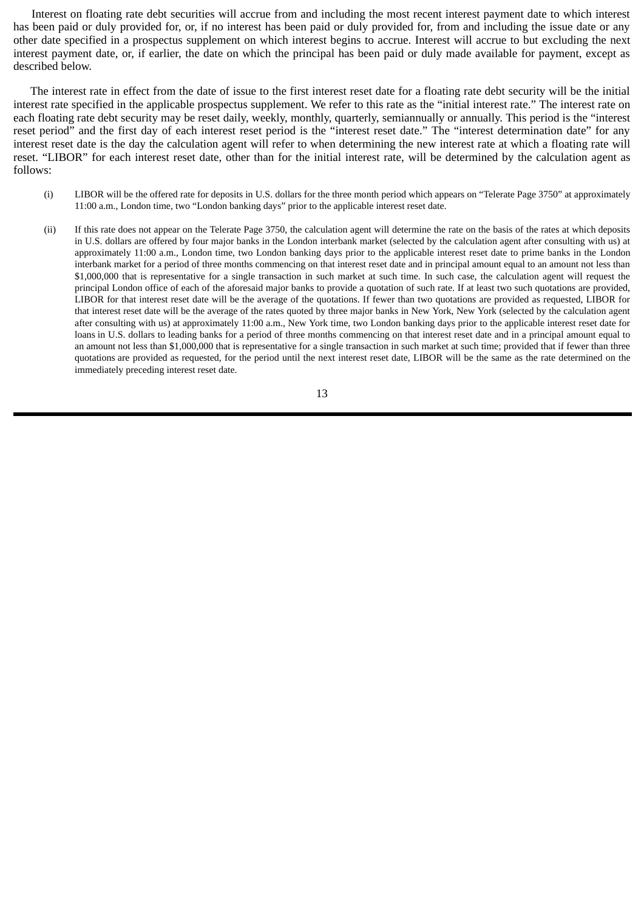Interest on floating rate debt securities will accrue from and including the most recent interest payment date to which interest has been paid or duly provided for, or, if no interest has been paid or duly provided for, from and including the issue date or any other date specified in a prospectus supplement on which interest begins to accrue. Interest will accrue to but excluding the next interest payment date, or, if earlier, the date on which the principal has been paid or duly made available for payment, except as described below.

The interest rate in effect from the date of issue to the first interest reset date for a floating rate debt security will be the initial interest rate specified in the applicable prospectus supplement. We refer to this rate as the "initial interest rate." The interest rate on each floating rate debt security may be reset daily, weekly, monthly, quarterly, semiannually or annually. This period is the "interest reset period" and the first day of each interest reset period is the "interest reset date." The "interest determination date" for any interest reset date is the day the calculation agent will refer to when determining the new interest rate at which a floating rate will reset. "LIBOR" for each interest reset date, other than for the initial interest rate, will be determined by the calculation agent as follows:

- (i) LIBOR will be the offered rate for deposits in U.S. dollars for the three month period which appears on "Telerate Page 3750" at approximately 11:00 a.m., London time, two "London banking days" prior to the applicable interest reset date.
- (ii) If this rate does not appear on the Telerate Page 3750, the calculation agent will determine the rate on the basis of the rates at which deposits in U.S. dollars are offered by four major banks in the London interbank market (selected by the calculation agent after consulting with us) at approximately 11:00 a.m., London time, two London banking days prior to the applicable interest reset date to prime banks in the London interbank market for a period of three months commencing on that interest reset date and in principal amount equal to an amount not less than \$1,000,000 that is representative for a single transaction in such market at such time. In such case, the calculation agent will request the principal London office of each of the aforesaid major banks to provide a quotation of such rate. If at least two such quotations are provided, LIBOR for that interest reset date will be the average of the quotations. If fewer than two quotations are provided as requested, LIBOR for that interest reset date will be the average of the rates quoted by three major banks in New York, New York (selected by the calculation agent after consulting with us) at approximately 11:00 a.m., New York time, two London banking days prior to the applicable interest reset date for loans in U.S. dollars to leading banks for a period of three months commencing on that interest reset date and in a principal amount equal to an amount not less than \$1,000,000 that is representative for a single transaction in such market at such time; provided that if fewer than three quotations are provided as requested, for the period until the next interest reset date, LIBOR will be the same as the rate determined on the immediately preceding interest reset date.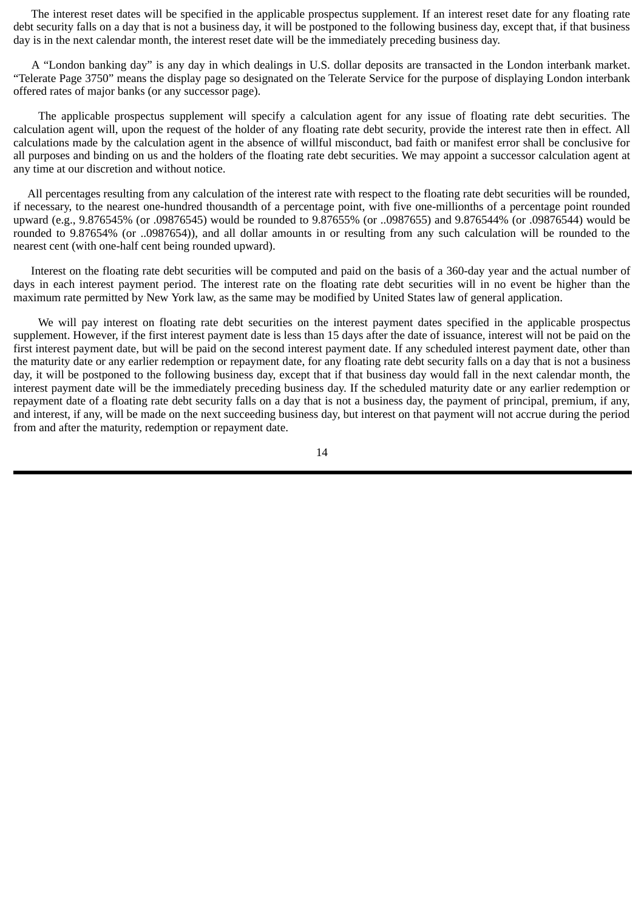The interest reset dates will be specified in the applicable prospectus supplement. If an interest reset date for any floating rate debt security falls on a day that is not a business day, it will be postponed to the following business day, except that, if that business day is in the next calendar month, the interest reset date will be the immediately preceding business day.

A "London banking day" is any day in which dealings in U.S. dollar deposits are transacted in the London interbank market. "Telerate Page 3750" means the display page so designated on the Telerate Service for the purpose of displaying London interbank offered rates of major banks (or any successor page).

The applicable prospectus supplement will specify a calculation agent for any issue of floating rate debt securities. The calculation agent will, upon the request of the holder of any floating rate debt security, provide the interest rate then in effect. All calculations made by the calculation agent in the absence of willful misconduct, bad faith or manifest error shall be conclusive for all purposes and binding on us and the holders of the floating rate debt securities. We may appoint a successor calculation agent at any time at our discretion and without notice.

All percentages resulting from any calculation of the interest rate with respect to the floating rate debt securities will be rounded, if necessary, to the nearest one-hundred thousandth of a percentage point, with five one-millionths of a percentage point rounded upward (e.g., 9.876545% (or .09876545) would be rounded to 9.87655% (or ..0987655) and 9.876544% (or .09876544) would be rounded to 9.87654% (or ..0987654)), and all dollar amounts in or resulting from any such calculation will be rounded to the nearest cent (with one-half cent being rounded upward).

Interest on the floating rate debt securities will be computed and paid on the basis of a 360-day year and the actual number of days in each interest payment period. The interest rate on the floating rate debt securities will in no event be higher than the maximum rate permitted by New York law, as the same may be modified by United States law of general application.

We will pay interest on floating rate debt securities on the interest payment dates specified in the applicable prospectus supplement. However, if the first interest payment date is less than 15 days after the date of issuance, interest will not be paid on the first interest payment date, but will be paid on the second interest payment date. If any scheduled interest payment date, other than the maturity date or any earlier redemption or repayment date, for any floating rate debt security falls on a day that is not a business day, it will be postponed to the following business day, except that if that business day would fall in the next calendar month, the interest payment date will be the immediately preceding business day. If the scheduled maturity date or any earlier redemption or repayment date of a floating rate debt security falls on a day that is not a business day, the payment of principal, premium, if any, and interest, if any, will be made on the next succeeding business day, but interest on that payment will not accrue during the period from and after the maturity, redemption or repayment date.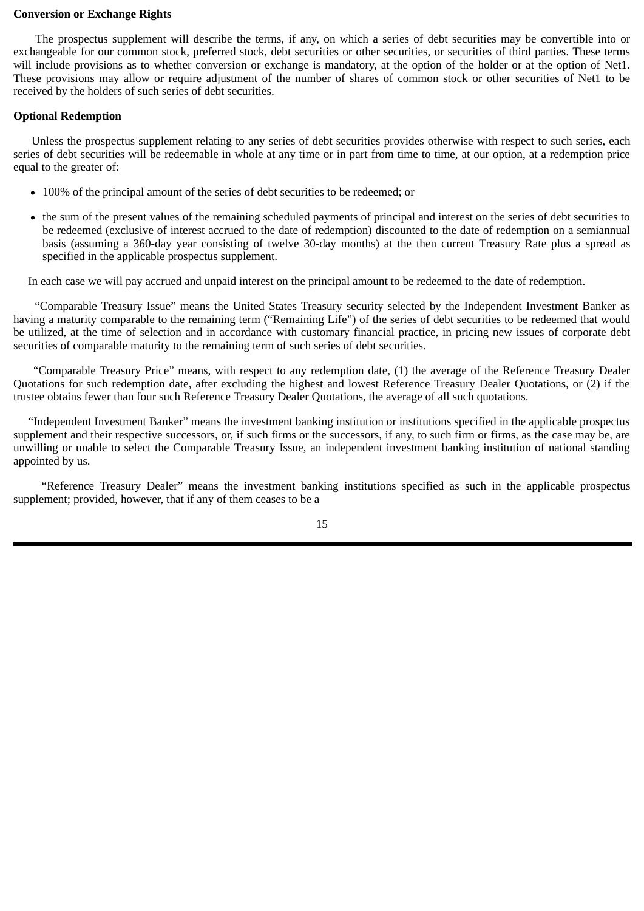# **Conversion or Exchange Rights**

The prospectus supplement will describe the terms, if any, on which a series of debt securities may be convertible into or exchangeable for our common stock, preferred stock, debt securities or other securities, or securities of third parties. These terms will include provisions as to whether conversion or exchange is mandatory, at the option of the holder or at the option of Net1. These provisions may allow or require adjustment of the number of shares of common stock or other securities of Net1 to be received by the holders of such series of debt securities.

# **Optional Redemption**

Unless the prospectus supplement relating to any series of debt securities provides otherwise with respect to such series, each series of debt securities will be redeemable in whole at any time or in part from time to time, at our option, at a redemption price equal to the greater of:

- 100% of the principal amount of the series of debt securities to be redeemed; or
- the sum of the present values of the remaining scheduled payments of principal and interest on the series of debt securities to be redeemed (exclusive of interest accrued to the date of redemption) discounted to the date of redemption on a semiannual basis (assuming a 360-day year consisting of twelve 30-day months) at the then current Treasury Rate plus a spread as specified in the applicable prospectus supplement.

In each case we will pay accrued and unpaid interest on the principal amount to be redeemed to the date of redemption.

"Comparable Treasury Issue" means the United States Treasury security selected by the Independent Investment Banker as having a maturity comparable to the remaining term ("Remaining Life") of the series of debt securities to be redeemed that would be utilized, at the time of selection and in accordance with customary financial practice, in pricing new issues of corporate debt securities of comparable maturity to the remaining term of such series of debt securities.

"Comparable Treasury Price" means, with respect to any redemption date, (1) the average of the Reference Treasury Dealer Quotations for such redemption date, after excluding the highest and lowest Reference Treasury Dealer Quotations, or (2) if the trustee obtains fewer than four such Reference Treasury Dealer Quotations, the average of all such quotations.

"Independent Investment Banker" means the investment banking institution or institutions specified in the applicable prospectus supplement and their respective successors, or, if such firms or the successors, if any, to such firm or firms, as the case may be, are unwilling or unable to select the Comparable Treasury Issue, an independent investment banking institution of national standing appointed by us.

"Reference Treasury Dealer" means the investment banking institutions specified as such in the applicable prospectus supplement; provided, however, that if any of them ceases to be a

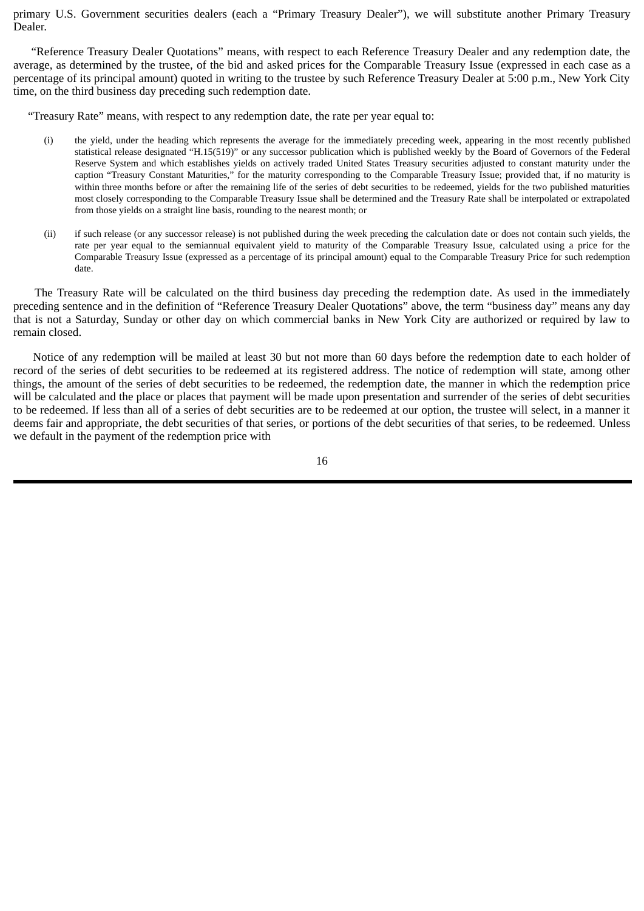primary U.S. Government securities dealers (each a "Primary Treasury Dealer"), we will substitute another Primary Treasury Dealer.

"Reference Treasury Dealer Quotations" means, with respect to each Reference Treasury Dealer and any redemption date, the average, as determined by the trustee, of the bid and asked prices for the Comparable Treasury Issue (expressed in each case as a percentage of its principal amount) quoted in writing to the trustee by such Reference Treasury Dealer at 5:00 p.m., New York City time, on the third business day preceding such redemption date.

"Treasury Rate" means, with respect to any redemption date, the rate per year equal to:

- (i) the yield, under the heading which represents the average for the immediately preceding week, appearing in the most recently published statistical release designated "H.15(519)" or any successor publication which is published weekly by the Board of Governors of the Federal Reserve System and which establishes yields on actively traded United States Treasury securities adjusted to constant maturity under the caption "Treasury Constant Maturities," for the maturity corresponding to the Comparable Treasury Issue; provided that, if no maturity is within three months before or after the remaining life of the series of debt securities to be redeemed, yields for the two published maturities most closely corresponding to the Comparable Treasury Issue shall be determined and the Treasury Rate shall be interpolated or extrapolated from those yields on a straight line basis, rounding to the nearest month; or
- (ii) if such release (or any successor release) is not published during the week preceding the calculation date or does not contain such yields, the rate per year equal to the semiannual equivalent yield to maturity of the Comparable Treasury Issue, calculated using a price for the Comparable Treasury Issue (expressed as a percentage of its principal amount) equal to the Comparable Treasury Price for such redemption date.

The Treasury Rate will be calculated on the third business day preceding the redemption date. As used in the immediately preceding sentence and in the definition of "Reference Treasury Dealer Quotations" above, the term "business day" means any day that is not a Saturday, Sunday or other day on which commercial banks in New York City are authorized or required by law to remain closed.

Notice of any redemption will be mailed at least 30 but not more than 60 days before the redemption date to each holder of record of the series of debt securities to be redeemed at its registered address. The notice of redemption will state, among other things, the amount of the series of debt securities to be redeemed, the redemption date, the manner in which the redemption price will be calculated and the place or places that payment will be made upon presentation and surrender of the series of debt securities to be redeemed. If less than all of a series of debt securities are to be redeemed at our option, the trustee will select, in a manner it deems fair and appropriate, the debt securities of that series, or portions of the debt securities of that series, to be redeemed. Unless we default in the payment of the redemption price with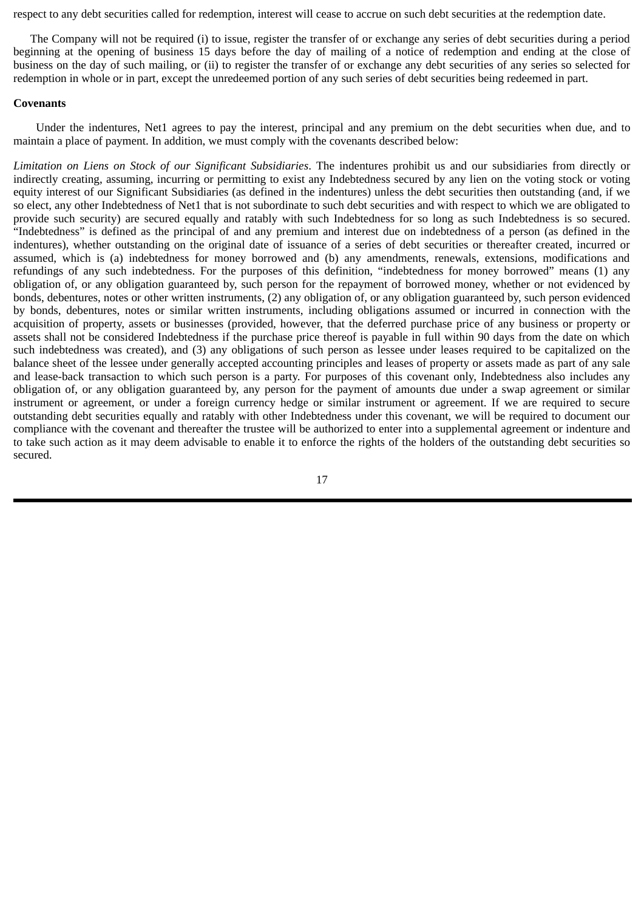respect to any debt securities called for redemption, interest will cease to accrue on such debt securities at the redemption date.

The Company will not be required (i) to issue, register the transfer of or exchange any series of debt securities during a period beginning at the opening of business 15 days before the day of mailing of a notice of redemption and ending at the close of business on the day of such mailing, or (ii) to register the transfer of or exchange any debt securities of any series so selected for redemption in whole or in part, except the unredeemed portion of any such series of debt securities being redeemed in part.

# **Covenants**

Under the indentures, Net1 agrees to pay the interest, principal and any premium on the debt securities when due, and to maintain a place of payment. In addition, we must comply with the covenants described below:

*Limitation on Liens on Stock of our Significant Subsidiaries*. The indentures prohibit us and our subsidiaries from directly or indirectly creating, assuming, incurring or permitting to exist any Indebtedness secured by any lien on the voting stock or voting equity interest of our Significant Subsidiaries (as defined in the indentures) unless the debt securities then outstanding (and, if we so elect, any other Indebtedness of Net1 that is not subordinate to such debt securities and with respect to which we are obligated to provide such security) are secured equally and ratably with such Indebtedness for so long as such Indebtedness is so secured. "Indebtedness" is defined as the principal of and any premium and interest due on indebtedness of a person (as defined in the indentures), whether outstanding on the original date of issuance of a series of debt securities or thereafter created, incurred or assumed, which is (a) indebtedness for money borrowed and (b) any amendments, renewals, extensions, modifications and refundings of any such indebtedness. For the purposes of this definition, "indebtedness for money borrowed" means (1) any obligation of, or any obligation guaranteed by, such person for the repayment of borrowed money, whether or not evidenced by bonds, debentures, notes or other written instruments, (2) any obligation of, or any obligation guaranteed by, such person evidenced by bonds, debentures, notes or similar written instruments, including obligations assumed or incurred in connection with the acquisition of property, assets or businesses (provided, however, that the deferred purchase price of any business or property or assets shall not be considered Indebtedness if the purchase price thereof is payable in full within 90 days from the date on which such indebtedness was created), and (3) any obligations of such person as lessee under leases required to be capitalized on the balance sheet of the lessee under generally accepted accounting principles and leases of property or assets made as part of any sale and lease-back transaction to which such person is a party. For purposes of this covenant only, Indebtedness also includes any obligation of, or any obligation guaranteed by, any person for the payment of amounts due under a swap agreement or similar instrument or agreement, or under a foreign currency hedge or similar instrument or agreement. If we are required to secure outstanding debt securities equally and ratably with other Indebtedness under this covenant, we will be required to document our compliance with the covenant and thereafter the trustee will be authorized to enter into a supplemental agreement or indenture and to take such action as it may deem advisable to enable it to enforce the rights of the holders of the outstanding debt securities so secured.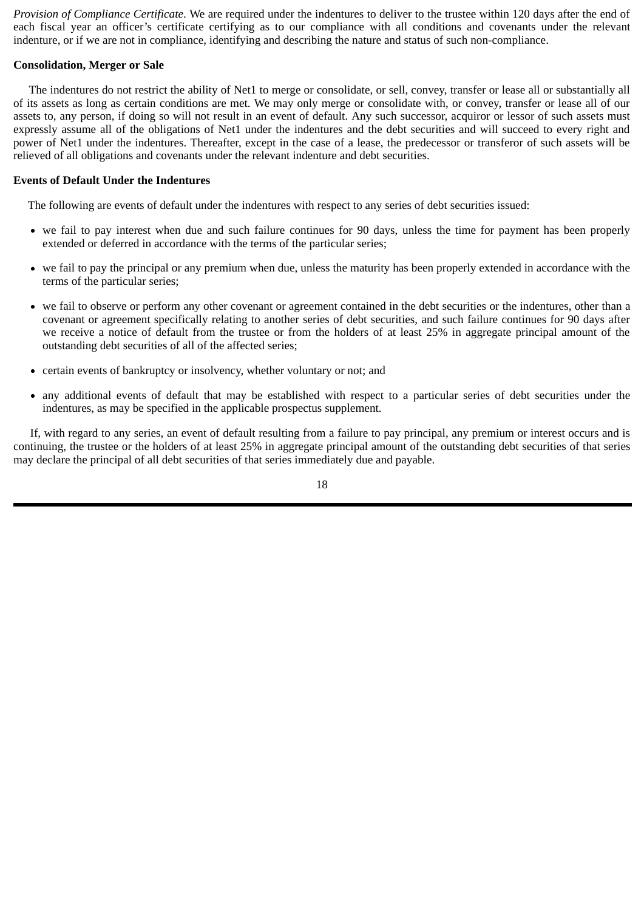*Provision of Compliance Certificate*. We are required under the indentures to deliver to the trustee within 120 days after the end of each fiscal year an officer's certificate certifying as to our compliance with all conditions and covenants under the relevant indenture, or if we are not in compliance, identifying and describing the nature and status of such non-compliance.

# **Consolidation, Merger or Sale**

The indentures do not restrict the ability of Net1 to merge or consolidate, or sell, convey, transfer or lease all or substantially all of its assets as long as certain conditions are met. We may only merge or consolidate with, or convey, transfer or lease all of our assets to, any person, if doing so will not result in an event of default. Any such successor, acquiror or lessor of such assets must expressly assume all of the obligations of Net1 under the indentures and the debt securities and will succeed to every right and power of Net1 under the indentures. Thereafter, except in the case of a lease, the predecessor or transferor of such assets will be relieved of all obligations and covenants under the relevant indenture and debt securities.

# **Events of Default Under the Indentures**

The following are events of default under the indentures with respect to any series of debt securities issued:

- we fail to pay interest when due and such failure continues for 90 days, unless the time for payment has been properly extended or deferred in accordance with the terms of the particular series;
- we fail to pay the principal or any premium when due, unless the maturity has been properly extended in accordance with the terms of the particular series;
- we fail to observe or perform any other covenant or agreement contained in the debt securities or the indentures, other than a covenant or agreement specifically relating to another series of debt securities, and such failure continues for 90 days after we receive a notice of default from the trustee or from the holders of at least 25% in aggregate principal amount of the outstanding debt securities of all of the affected series;
- certain events of bankruptcy or insolvency, whether voluntary or not; and
- any additional events of default that may be established with respect to a particular series of debt securities under the indentures, as may be specified in the applicable prospectus supplement.

If, with regard to any series, an event of default resulting from a failure to pay principal, any premium or interest occurs and is continuing, the trustee or the holders of at least 25% in aggregate principal amount of the outstanding debt securities of that series may declare the principal of all debt securities of that series immediately due and payable.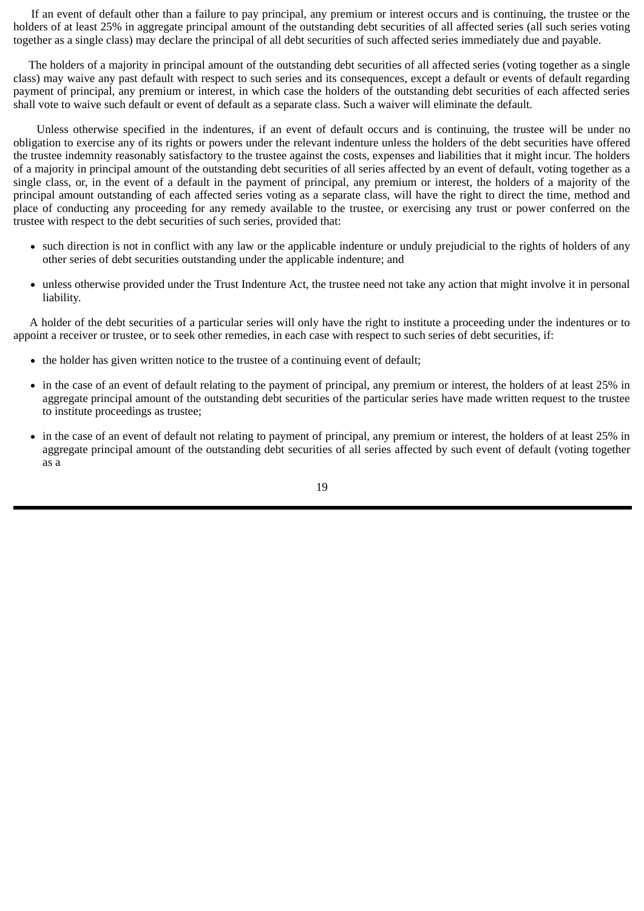If an event of default other than a failure to pay principal, any premium or interest occurs and is continuing, the trustee or the holders of at least 25% in aggregate principal amount of the outstanding debt securities of all affected series (all such series voting together as a single class) may declare the principal of all debt securities of such affected series immediately due and payable.

The holders of a majority in principal amount of the outstanding debt securities of all affected series (voting together as a single class) may waive any past default with respect to such series and its consequences, except a default or events of default regarding payment of principal, any premium or interest, in which case the holders of the outstanding debt securities of each affected series shall vote to waive such default or event of default as a separate class. Such a waiver will eliminate the default.

Unless otherwise specified in the indentures, if an event of default occurs and is continuing, the trustee will be under no obligation to exercise any of its rights or powers under the relevant indenture unless the holders of the debt securities have offered the trustee indemnity reasonably satisfactory to the trustee against the costs, expenses and liabilities that it might incur. The holders of a majority in principal amount of the outstanding debt securities of all series affected by an event of default, voting together as a single class, or, in the event of a default in the payment of principal, any premium or interest, the holders of a majority of the principal amount outstanding of each affected series voting as a separate class, will have the right to direct the time, method and place of conducting any proceeding for any remedy available to the trustee, or exercising any trust or power conferred on the trustee with respect to the debt securities of such series, provided that:

- such direction is not in conflict with any law or the applicable indenture or unduly prejudicial to the rights of holders of any other series of debt securities outstanding under the applicable indenture; and
- unless otherwise provided under the Trust Indenture Act, the trustee need not take any action that might involve it in personal liability.

A holder of the debt securities of a particular series will only have the right to institute a proceeding under the indentures or to appoint a receiver or trustee, or to seek other remedies, in each case with respect to such series of debt securities, if:

- the holder has given written notice to the trustee of a continuing event of default;
- in the case of an event of default relating to the payment of principal, any premium or interest, the holders of at least 25% in aggregate principal amount of the outstanding debt securities of the particular series have made written request to the trustee to institute proceedings as trustee;
- in the case of an event of default not relating to payment of principal, any premium or interest, the holders of at least 25% in aggregate principal amount of the outstanding debt securities of all series affected by such event of default (voting together as a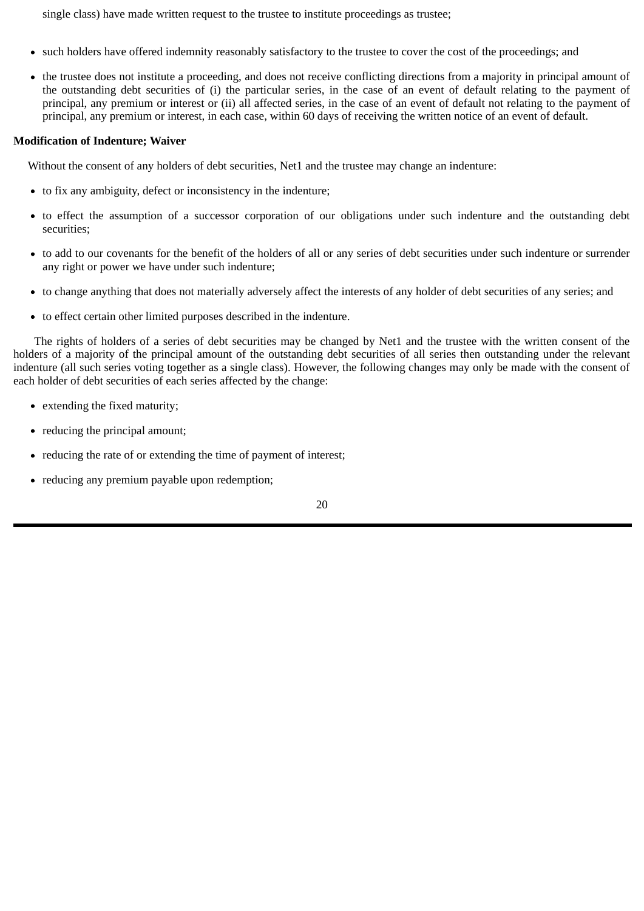single class) have made written request to the trustee to institute proceedings as trustee;

- such holders have offered indemnity reasonably satisfactory to the trustee to cover the cost of the proceedings; and
- the trustee does not institute a proceeding, and does not receive conflicting directions from a majority in principal amount of the outstanding debt securities of (i) the particular series, in the case of an event of default relating to the payment of principal, any premium or interest or (ii) all affected series, in the case of an event of default not relating to the payment of principal, any premium or interest, in each case, within 60 days of receiving the written notice of an event of default.

# **Modification of Indenture; Waiver**

Without the consent of any holders of debt securities, Net1 and the trustee may change an indenture:

- to fix any ambiguity, defect or inconsistency in the indenture;
- to effect the assumption of a successor corporation of our obligations under such indenture and the outstanding debt securities;
- to add to our covenants for the benefit of the holders of all or any series of debt securities under such indenture or surrender any right or power we have under such indenture;
- to change anything that does not materially adversely affect the interests of any holder of debt securities of any series; and
- to effect certain other limited purposes described in the indenture.

The rights of holders of a series of debt securities may be changed by Net1 and the trustee with the written consent of the holders of a majority of the principal amount of the outstanding debt securities of all series then outstanding under the relevant indenture (all such series voting together as a single class). However, the following changes may only be made with the consent of each holder of debt securities of each series affected by the change:

- extending the fixed maturity;
- reducing the principal amount;
- reducing the rate of or extending the time of payment of interest;
- reducing any premium payable upon redemption;

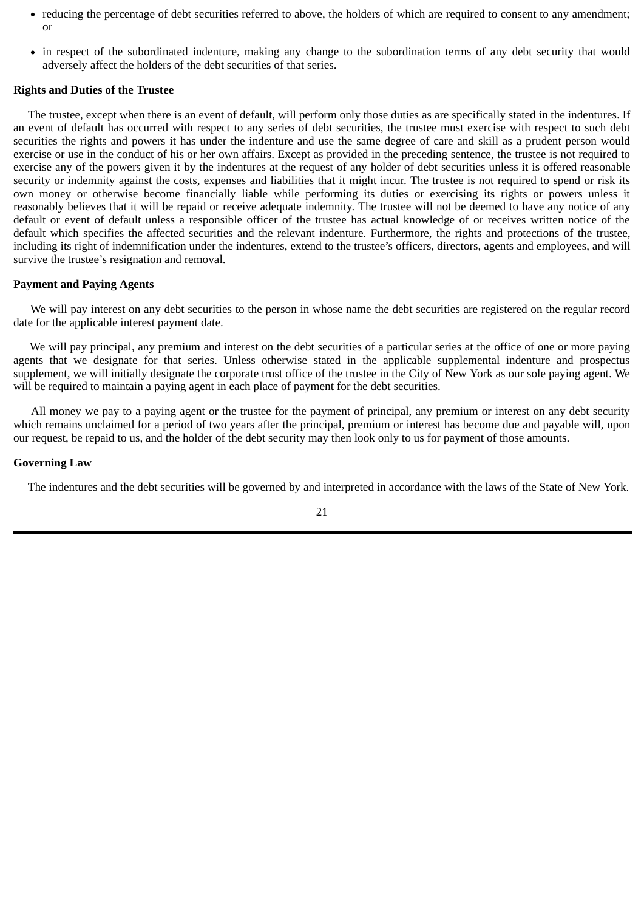- reducing the percentage of debt securities referred to above, the holders of which are required to consent to any amendment; or
- in respect of the subordinated indenture, making any change to the subordination terms of any debt security that would adversely affect the holders of the debt securities of that series.

## **Rights and Duties of the Trustee**

The trustee, except when there is an event of default, will perform only those duties as are specifically stated in the indentures. If an event of default has occurred with respect to any series of debt securities, the trustee must exercise with respect to such debt securities the rights and powers it has under the indenture and use the same degree of care and skill as a prudent person would exercise or use in the conduct of his or her own affairs. Except as provided in the preceding sentence, the trustee is not required to exercise any of the powers given it by the indentures at the request of any holder of debt securities unless it is offered reasonable security or indemnity against the costs, expenses and liabilities that it might incur. The trustee is not required to spend or risk its own money or otherwise become financially liable while performing its duties or exercising its rights or powers unless it reasonably believes that it will be repaid or receive adequate indemnity. The trustee will not be deemed to have any notice of any default or event of default unless a responsible officer of the trustee has actual knowledge of or receives written notice of the default which specifies the affected securities and the relevant indenture. Furthermore, the rights and protections of the trustee, including its right of indemnification under the indentures, extend to the trustee's officers, directors, agents and employees, and will survive the trustee's resignation and removal.

# **Payment and Paying Agents**

We will pay interest on any debt securities to the person in whose name the debt securities are registered on the regular record date for the applicable interest payment date.

We will pay principal, any premium and interest on the debt securities of a particular series at the office of one or more paying agents that we designate for that series. Unless otherwise stated in the applicable supplemental indenture and prospectus supplement, we will initially designate the corporate trust office of the trustee in the City of New York as our sole paying agent. We will be required to maintain a paying agent in each place of payment for the debt securities.

All money we pay to a paying agent or the trustee for the payment of principal, any premium or interest on any debt security which remains unclaimed for a period of two years after the principal, premium or interest has become due and payable will, upon our request, be repaid to us, and the holder of the debt security may then look only to us for payment of those amounts.

#### **Governing Law**

The indentures and the debt securities will be governed by and interpreted in accordance with the laws of the State of New York.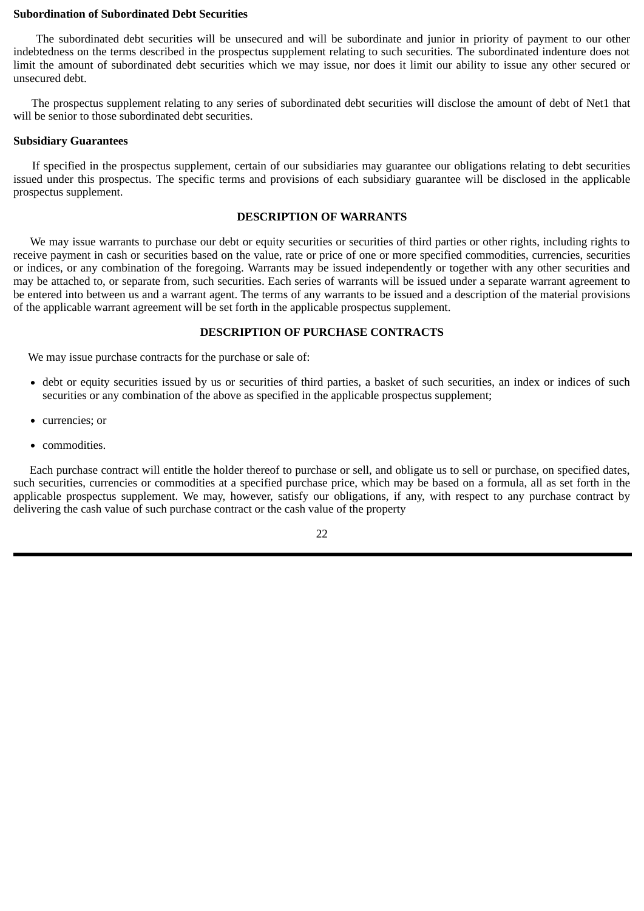## <span id="page-25-0"></span>**Subordination of Subordinated Debt Securities**

The subordinated debt securities will be unsecured and will be subordinate and junior in priority of payment to our other indebtedness on the terms described in the prospectus supplement relating to such securities. The subordinated indenture does not limit the amount of subordinated debt securities which we may issue, nor does it limit our ability to issue any other secured or unsecured debt.

The prospectus supplement relating to any series of subordinated debt securities will disclose the amount of debt of Net1 that will be senior to those subordinated debt securities.

# **Subsidiary Guarantees**

If specified in the prospectus supplement, certain of our subsidiaries may guarantee our obligations relating to debt securities issued under this prospectus. The specific terms and provisions of each subsidiary guarantee will be disclosed in the applicable prospectus supplement.

## **DESCRIPTION OF WARRANTS**

We may issue warrants to purchase our debt or equity securities or securities of third parties or other rights, including rights to receive payment in cash or securities based on the value, rate or price of one or more specified commodities, currencies, securities or indices, or any combination of the foregoing. Warrants may be issued independently or together with any other securities and may be attached to, or separate from, such securities. Each series of warrants will be issued under a separate warrant agreement to be entered into between us and a warrant agent. The terms of any warrants to be issued and a description of the material provisions of the applicable warrant agreement will be set forth in the applicable prospectus supplement.

# **DESCRIPTION OF PURCHASE CONTRACTS**

We may issue purchase contracts for the purchase or sale of:

- debt or equity securities issued by us or securities of third parties, a basket of such securities, an index or indices of such securities or any combination of the above as specified in the applicable prospectus supplement;
- currencies; or  $\bullet$
- commodities.

Each purchase contract will entitle the holder thereof to purchase or sell, and obligate us to sell or purchase, on specified dates, such securities, currencies or commodities at a specified purchase price, which may be based on a formula, all as set forth in the applicable prospectus supplement. We may, however, satisfy our obligations, if any, with respect to any purchase contract by delivering the cash value of such purchase contract or the cash value of the property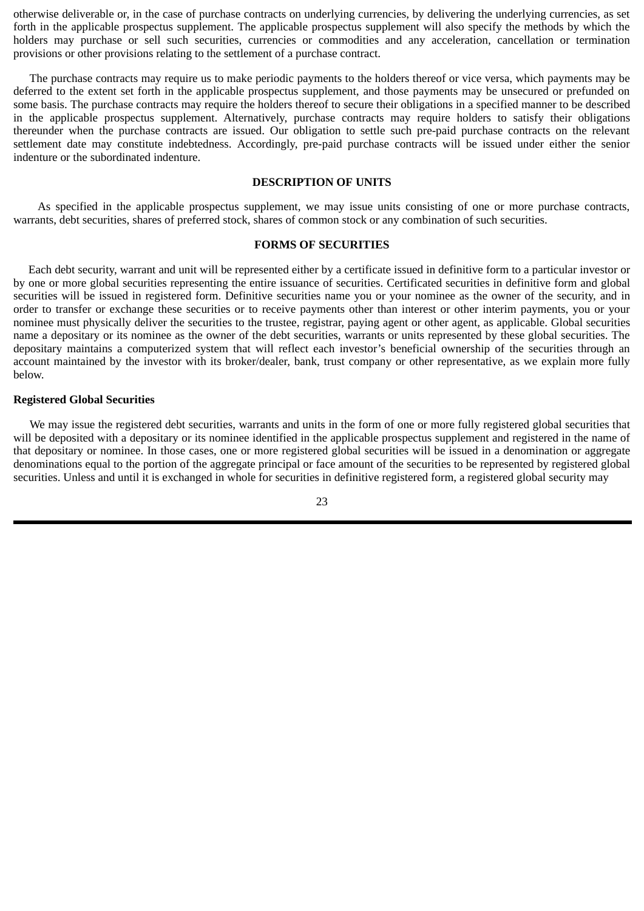<span id="page-26-0"></span>otherwise deliverable or, in the case of purchase contracts on underlying currencies, by delivering the underlying currencies, as set forth in the applicable prospectus supplement. The applicable prospectus supplement will also specify the methods by which the holders may purchase or sell such securities, currencies or commodities and any acceleration, cancellation or termination provisions or other provisions relating to the settlement of a purchase contract.

The purchase contracts may require us to make periodic payments to the holders thereof or vice versa, which payments may be deferred to the extent set forth in the applicable prospectus supplement, and those payments may be unsecured or prefunded on some basis. The purchase contracts may require the holders thereof to secure their obligations in a specified manner to be described in the applicable prospectus supplement. Alternatively, purchase contracts may require holders to satisfy their obligations thereunder when the purchase contracts are issued. Our obligation to settle such pre-paid purchase contracts on the relevant settlement date may constitute indebtedness. Accordingly, pre-paid purchase contracts will be issued under either the senior indenture or the subordinated indenture.

### **DESCRIPTION OF UNITS**

As specified in the applicable prospectus supplement, we may issue units consisting of one or more purchase contracts, warrants, debt securities, shares of preferred stock, shares of common stock or any combination of such securities.

#### **FORMS OF SECURITIES**

Each debt security, warrant and unit will be represented either by a certificate issued in definitive form to a particular investor or by one or more global securities representing the entire issuance of securities. Certificated securities in definitive form and global securities will be issued in registered form. Definitive securities name you or your nominee as the owner of the security, and in order to transfer or exchange these securities or to receive payments other than interest or other interim payments, you or your nominee must physically deliver the securities to the trustee, registrar, paying agent or other agent, as applicable. Global securities name a depositary or its nominee as the owner of the debt securities, warrants or units represented by these global securities. The depositary maintains a computerized system that will reflect each investor's beneficial ownership of the securities through an account maintained by the investor with its broker/dealer, bank, trust company or other representative, as we explain more fully below.

#### **Registered Global Securities**

We may issue the registered debt securities, warrants and units in the form of one or more fully registered global securities that will be deposited with a depositary or its nominee identified in the applicable prospectus supplement and registered in the name of that depositary or nominee. In those cases, one or more registered global securities will be issued in a denomination or aggregate denominations equal to the portion of the aggregate principal or face amount of the securities to be represented by registered global securities. Unless and until it is exchanged in whole for securities in definitive registered form, a registered global security may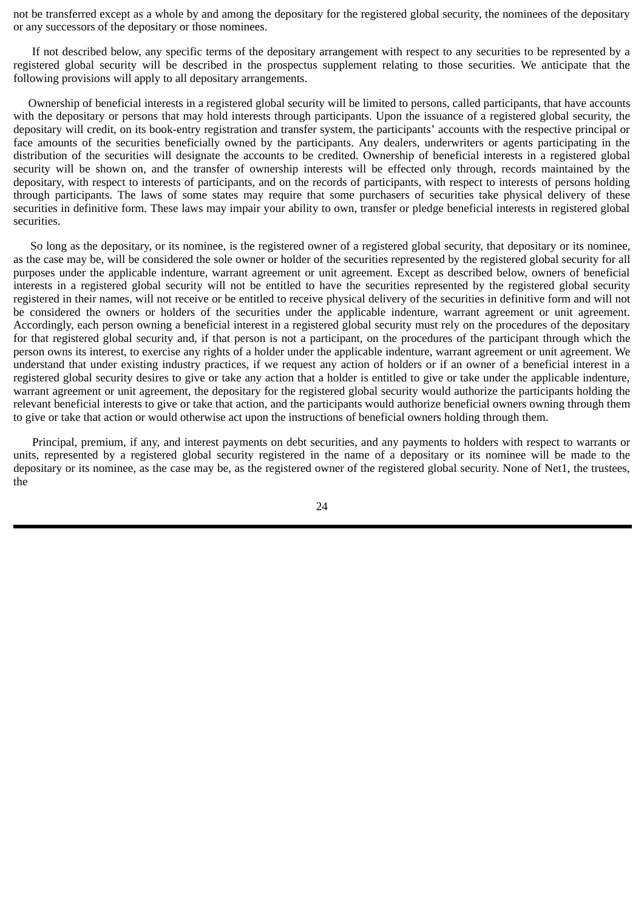not be transferred except as a whole by and among the depositary for the registered global security, the nominees of the depositary or any successors of the depositary or those nominees.

If not described below, any specific terms of the depositary arrangement with respect to any securities to be represented by a registered global security will be described in the prospectus supplement relating to those securities. We anticipate that the following provisions will apply to all depositary arrangements.

Ownership of beneficial interests in a registered global security will be limited to persons, called participants, that have accounts with the depositary or persons that may hold interests through participants. Upon the issuance of a registered global security, the depositary will credit, on its book-entry registration and transfer system, the participants' accounts with the respective principal or face amounts of the securities beneficially owned by the participants. Any dealers, underwriters or agents participating in the distribution of the securities will designate the accounts to be credited. Ownership of beneficial interests in a registered global security will be shown on, and the transfer of ownership interests will be effected only through, records maintained by the depositary, with respect to interests of participants, and on the records of participants, with respect to interests of persons holding through participants. The laws of some states may require that some purchasers of securities take physical delivery of these securities in definitive form. These laws may impair your ability to own, transfer or pledge beneficial interests in registered global securities.

So long as the depositary, or its nominee, is the registered owner of a registered global security, that depositary or its nominee, as the case may be, will be considered the sole owner or holder of the securities represented by the registered global security for all purposes under the applicable indenture, warrant agreement or unit agreement. Except as described below, owners of beneficial interests in a registered global security will not be entitled to have the securities represented by the registered global security registered in their names, will not receive or be entitled to receive physical delivery of the securities in definitive form and will not be considered the owners or holders of the securities under the applicable indenture, warrant agreement or unit agreement. Accordingly, each person owning a beneficial interest in a registered global security must rely on the procedures of the depositary for that registered global security and, if that person is not a participant, on the procedures of the participant through which the person owns its interest, to exercise any rights of a holder under the applicable indenture, warrant agreement or unit agreement. We understand that under existing industry practices, if we request any action of holders or if an owner of a beneficial interest in a registered global security desires to give or take any action that a holder is entitled to give or take under the applicable indenture, warrant agreement or unit agreement, the depositary for the registered global security would authorize the participants holding the relevant beneficial interests to give or take that action, and the participants would authorize beneficial owners owning through them to give or take that action or would otherwise act upon the instructions of beneficial owners holding through them.

Principal, premium, if any, and interest payments on debt securities, and any payments to holders with respect to warrants or units, represented by a registered global security registered in the name of a depositary or its nominee will be made to the depositary or its nominee, as the case may be, as the registered owner of the registered global security. None of Net1, the trustees, the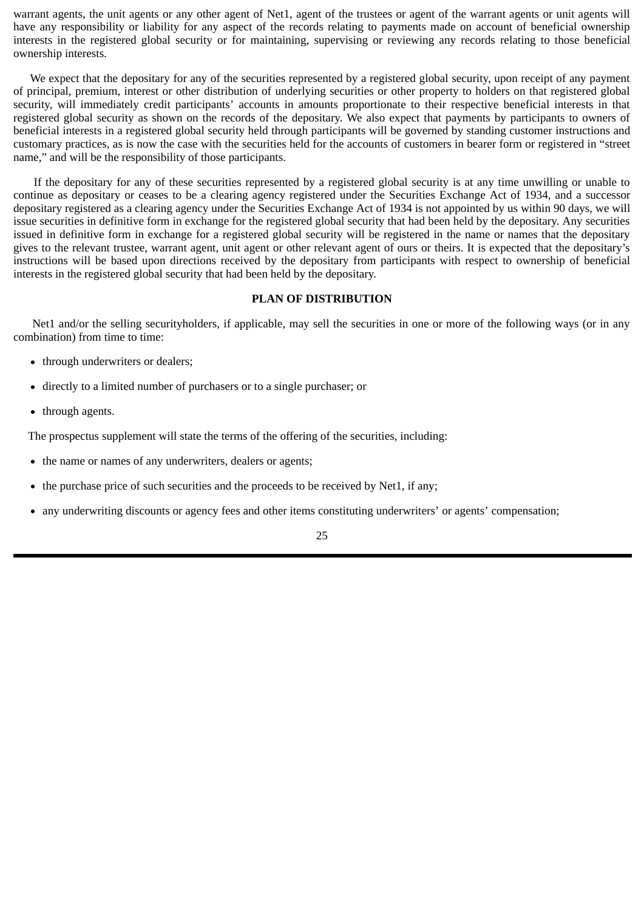<span id="page-28-0"></span>warrant agents, the unit agents or any other agent of Net1, agent of the trustees or agent of the warrant agents or unit agents will have any responsibility or liability for any aspect of the records relating to payments made on account of beneficial ownership interests in the registered global security or for maintaining, supervising or reviewing any records relating to those beneficial ownership interests.

We expect that the depositary for any of the securities represented by a registered global security, upon receipt of any payment of principal, premium, interest or other distribution of underlying securities or other property to holders on that registered global security, will immediately credit participants' accounts in amounts proportionate to their respective beneficial interests in that registered global security as shown on the records of the depositary. We also expect that payments by participants to owners of beneficial interests in a registered global security held through participants will be governed by standing customer instructions and customary practices, as is now the case with the securities held for the accounts of customers in bearer form or registered in "street name," and will be the responsibility of those participants.

If the depositary for any of these securities represented by a registered global security is at any time unwilling or unable to continue as depositary or ceases to be a clearing agency registered under the Securities Exchange Act of 1934, and a successor depositary registered as a clearing agency under the Securities Exchange Act of 1934 is not appointed by us within 90 days, we will issue securities in definitive form in exchange for the registered global security that had been held by the depositary. Any securities issued in definitive form in exchange for a registered global security will be registered in the name or names that the depositary gives to the relevant trustee, warrant agent, unit agent or other relevant agent of ours or theirs. It is expected that the depositary's instructions will be based upon directions received by the depositary from participants with respect to ownership of beneficial interests in the registered global security that had been held by the depositary.

# **PLAN OF DISTRIBUTION**

Net1 and/or the selling securityholders, if applicable, may sell the securities in one or more of the following ways (or in any combination) from time to time:

- through underwriters or dealers;
- directly to a limited number of purchasers or to a single purchaser; or
- through agents.

The prospectus supplement will state the terms of the offering of the securities, including:

- the name or names of any underwriters, dealers or agents;
- the purchase price of such securities and the proceeds to be received by Net1, if any;  $\bullet$
- any underwriting discounts or agency fees and other items constituting underwriters' or agents' compensation;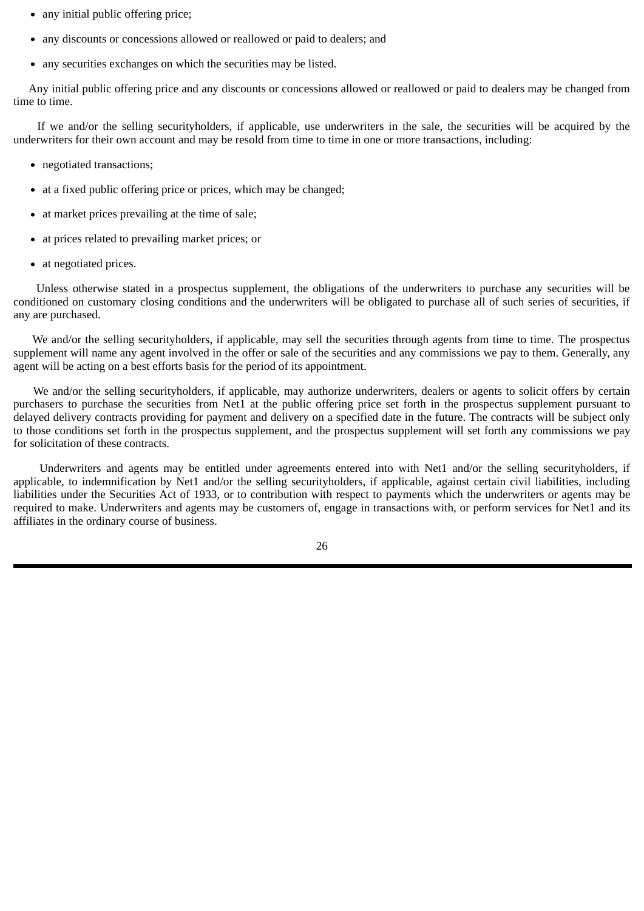- any initial public offering price;
- any discounts or concessions allowed or reallowed or paid to dealers; and
- any securities exchanges on which the securities may be listed.

Any initial public offering price and any discounts or concessions allowed or reallowed or paid to dealers may be changed from time to time.

If we and/or the selling securityholders, if applicable, use underwriters in the sale, the securities will be acquired by the underwriters for their own account and may be resold from time to time in one or more transactions, including:

- negotiated transactions:
- at a fixed public offering price or prices, which may be changed;
- at market prices prevailing at the time of sale;
- at prices related to prevailing market prices; or
- at negotiated prices.

Unless otherwise stated in a prospectus supplement, the obligations of the underwriters to purchase any securities will be conditioned on customary closing conditions and the underwriters will be obligated to purchase all of such series of securities, if any are purchased.

We and/or the selling securityholders, if applicable, may sell the securities through agents from time to time. The prospectus supplement will name any agent involved in the offer or sale of the securities and any commissions we pay to them. Generally, any agent will be acting on a best efforts basis for the period of its appointment.

We and/or the selling securityholders, if applicable, may authorize underwriters, dealers or agents to solicit offers by certain purchasers to purchase the securities from Net1 at the public offering price set forth in the prospectus supplement pursuant to delayed delivery contracts providing for payment and delivery on a specified date in the future. The contracts will be subject only to those conditions set forth in the prospectus supplement, and the prospectus supplement will set forth any commissions we pay for solicitation of these contracts.

Underwriters and agents may be entitled under agreements entered into with Net1 and/or the selling securityholders, if applicable, to indemnification by Net1 and/or the selling securityholders, if applicable, against certain civil liabilities, including liabilities under the Securities Act of 1933, or to contribution with respect to payments which the underwriters or agents may be required to make. Underwriters and agents may be customers of, engage in transactions with, or perform services for Net1 and its affiliates in the ordinary course of business.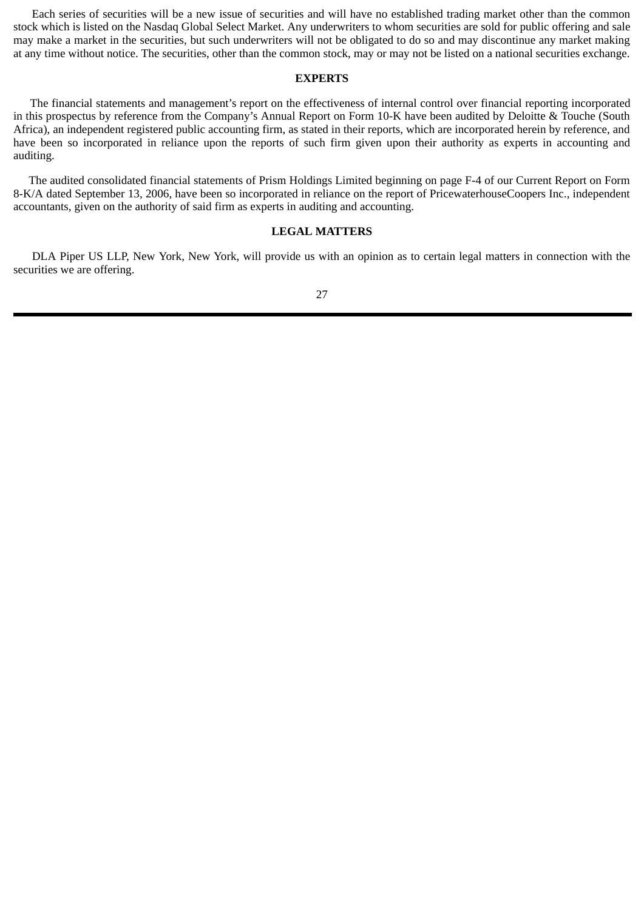<span id="page-30-0"></span>Each series of securities will be a new issue of securities and will have no established trading market other than the common stock which is listed on the Nasdaq Global Select Market. Any underwriters to whom securities are sold for public offering and sale may make a market in the securities, but such underwriters will not be obligated to do so and may discontinue any market making at any time without notice. The securities, other than the common stock, may or may not be listed on a national securities exchange.

# **EXPERTS**

The financial statements and management's report on the effectiveness of internal control over financial reporting incorporated in this prospectus by reference from the Company's Annual Report on Form 10-K have been audited by Deloitte & Touche (South Africa), an independent registered public accounting firm, as stated in their reports, which are incorporated herein by reference, and have been so incorporated in reliance upon the reports of such firm given upon their authority as experts in accounting and auditing.

The audited consolidated financial statements of Prism Holdings Limited beginning on page F-4 of our Current Report on Form 8-K/A dated September 13, 2006, have been so incorporated in reliance on the report of PricewaterhouseCoopers Inc., independent accountants, given on the authority of said firm as experts in auditing and accounting.

# **LEGAL MATTERS**

DLA Piper US LLP, New York, New York, will provide us with an opinion as to certain legal matters in connection with the securities we are offering.